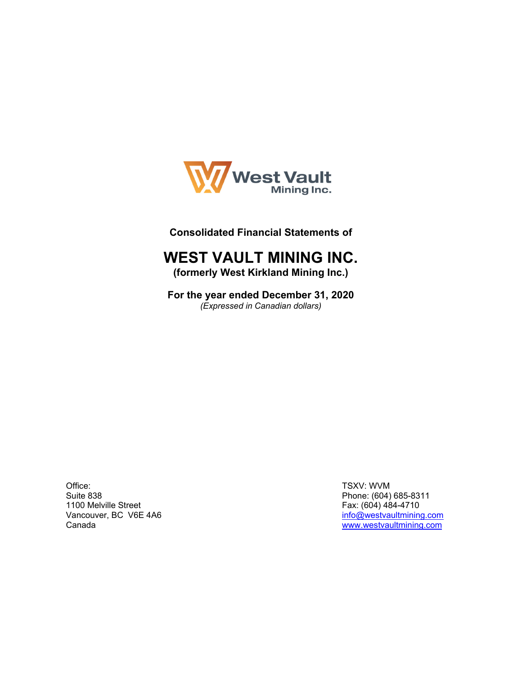

## **Consolidated Financial Statements of**

## **WEST VAULT MINING INC.**

**(formerly West Kirkland Mining Inc.)** 

**For the year ended December 31, 2020** *(Expressed in Canadian dollars)* 

Office: Suite 838 1100 Melville Street Vancouver, BC V6E 4A6 Canada

TSXV: WVM Phone: (604) 685-8311 Fax: (604) 484-4710 info@westvaultmining.com www.westvaultmining.com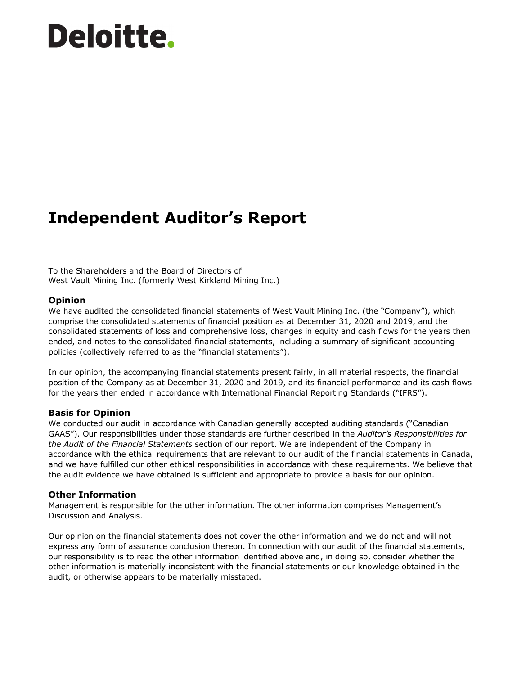# **Deloitte.**

## **Independent Auditor's Report**

To the Shareholders and the Board of Directors of West Vault Mining Inc. (formerly West Kirkland Mining Inc.)

#### **Opinion**

We have audited the consolidated financial statements of West Vault Mining Inc. (the "Company"), which comprise the consolidated statements of financial position as at December 31, 2020 and 2019, and the consolidated statements of loss and comprehensive loss, changes in equity and cash flows for the years then ended, and notes to the consolidated financial statements, including a summary of significant accounting policies (collectively referred to as the "financial statements").

In our opinion, the accompanying financial statements present fairly, in all material respects, the financial position of the Company as at December 31, 2020 and 2019, and its financial performance and its cash flows for the years then ended in accordance with International Financial Reporting Standards ("IFRS").

#### **Basis for Opinion**

We conducted our audit in accordance with Canadian generally accepted auditing standards ("Canadian GAAS"). Our responsibilities under those standards are further described in the *Auditor's Responsibilities for the Audit of the Financial Statements* section of our report. We are independent of the Company in accordance with the ethical requirements that are relevant to our audit of the financial statements in Canada, and we have fulfilled our other ethical responsibilities in accordance with these requirements. We believe that the audit evidence we have obtained is sufficient and appropriate to provide a basis for our opinion.

#### **Other Information**

Management is responsible for the other information. The other information comprises Management's Discussion and Analysis.

Our opinion on the financial statements does not cover the other information and we do not and will not express any form of assurance conclusion thereon. In connection with our audit of the financial statements, our responsibility is to read the other information identified above and, in doing so, consider whether the other information is materially inconsistent with the financial statements or our knowledge obtained in the audit, or otherwise appears to be materially misstated.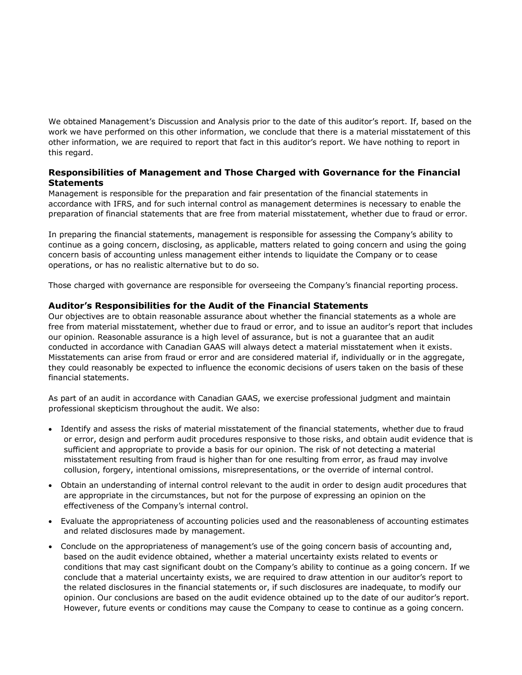We obtained Management's Discussion and Analysis prior to the date of this auditor's report. If, based on the work we have performed on this other information, we conclude that there is a material misstatement of this other information, we are required to report that fact in this auditor's report. We have nothing to report in this regard.

#### **Responsibilities of Management and Those Charged with Governance for the Financial Statements**

Management is responsible for the preparation and fair presentation of the financial statements in accordance with IFRS, and for such internal control as management determines is necessary to enable the preparation of financial statements that are free from material misstatement, whether due to fraud or error.

In preparing the financial statements, management is responsible for assessing the Company's ability to continue as a going concern, disclosing, as applicable, matters related to going concern and using the going concern basis of accounting unless management either intends to liquidate the Company or to cease operations, or has no realistic alternative but to do so.

Those charged with governance are responsible for overseeing the Company's financial reporting process.

#### **Auditor's Responsibilities for the Audit of the Financial Statements**

Our objectives are to obtain reasonable assurance about whether the financial statements as a whole are free from material misstatement, whether due to fraud or error, and to issue an auditor's report that includes our opinion. Reasonable assurance is a high level of assurance, but is not a guarantee that an audit conducted in accordance with Canadian GAAS will always detect a material misstatement when it exists. Misstatements can arise from fraud or error and are considered material if, individually or in the aggregate, they could reasonably be expected to influence the economic decisions of users taken on the basis of these financial statements.

As part of an audit in accordance with Canadian GAAS, we exercise professional judgment and maintain professional skepticism throughout the audit. We also:

- Identify and assess the risks of material misstatement of the financial statements, whether due to fraud or error, design and perform audit procedures responsive to those risks, and obtain audit evidence that is sufficient and appropriate to provide a basis for our opinion. The risk of not detecting a material misstatement resulting from fraud is higher than for one resulting from error, as fraud may involve collusion, forgery, intentional omissions, misrepresentations, or the override of internal control.
- Obtain an understanding of internal control relevant to the audit in order to design audit procedures that are appropriate in the circumstances, but not for the purpose of expressing an opinion on the effectiveness of the Company's internal control.
- Evaluate the appropriateness of accounting policies used and the reasonableness of accounting estimates and related disclosures made by management.
- Conclude on the appropriateness of management's use of the going concern basis of accounting and, based on the audit evidence obtained, whether a material uncertainty exists related to events or conditions that may cast significant doubt on the Company's ability to continue as a going concern. If we conclude that a material uncertainty exists, we are required to draw attention in our auditor's report to the related disclosures in the financial statements or, if such disclosures are inadequate, to modify our opinion. Our conclusions are based on the audit evidence obtained up to the date of our auditor's report. However, future events or conditions may cause the Company to cease to continue as a going concern.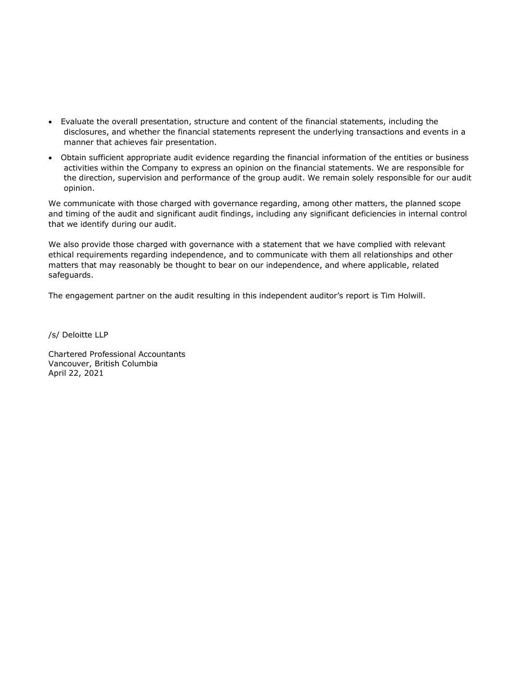- Evaluate the overall presentation, structure and content of the financial statements, including the disclosures, and whether the financial statements represent the underlying transactions and events in a manner that achieves fair presentation.
- Obtain sufficient appropriate audit evidence regarding the financial information of the entities or business activities within the Company to express an opinion on the financial statements. We are responsible for the direction, supervision and performance of the group audit. We remain solely responsible for our audit opinion.

We communicate with those charged with governance regarding, among other matters, the planned scope and timing of the audit and significant audit findings, including any significant deficiencies in internal control that we identify during our audit.

We also provide those charged with governance with a statement that we have complied with relevant ethical requirements regarding independence, and to communicate with them all relationships and other matters that may reasonably be thought to bear on our independence, and where applicable, related safeguards.

The engagement partner on the audit resulting in this independent auditor's report is Tim Holwill.

/s/ Deloitte LLP

Chartered Professional Accountants Vancouver, British Columbia April 22, 2021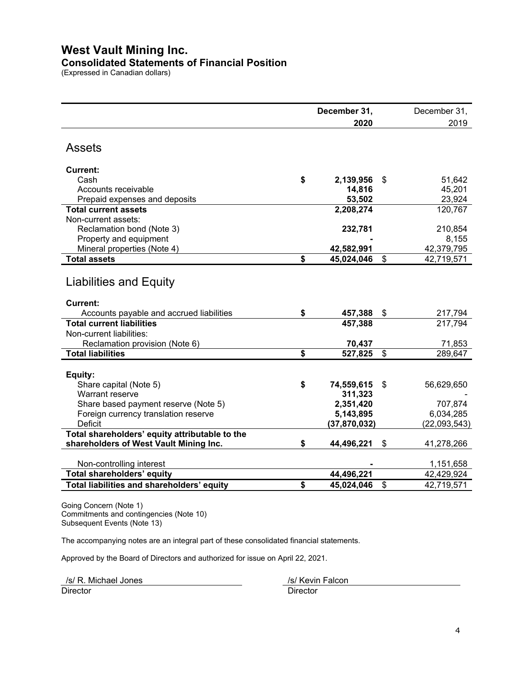## **West Vault Mining Inc.**

## **Consolidated Statements of Financial Position**

(Expressed in Canadian dollars)

|                                                | December 31, |                |       | December 31, |
|------------------------------------------------|--------------|----------------|-------|--------------|
|                                                |              | 2020           |       | 2019         |
| <b>Assets</b>                                  |              |                |       |              |
| <b>Current:</b>                                |              |                |       |              |
| Cash                                           | \$           | 2,139,956      | \$    | 51,642       |
| Accounts receivable                            |              | 14,816         |       | 45,201       |
| Prepaid expenses and deposits                  |              | 53,502         |       | 23,924       |
| <b>Total current assets</b>                    |              | 2,208,274      |       | 120,767      |
| Non-current assets:                            |              |                |       |              |
| Reclamation bond (Note 3)                      |              | 232,781        |       | 210,854      |
| Property and equipment                         |              |                |       | 8,155        |
| Mineral properties (Note 4)                    |              | 42,582,991     |       | 42,379,795   |
| <b>Total assets</b>                            | \$           | 45,024,046     | \$    | 42,719,571   |
| Liabilities and Equity                         |              |                |       |              |
| Current:                                       |              |                |       |              |
| Accounts payable and accrued liabilities       | \$           | 457,388        | \$    | 217,794      |
| <b>Total current liabilities</b>               |              | 457,388        |       | 217,794      |
| Non-current liabilities:                       |              |                |       |              |
| Reclamation provision (Note 6)                 |              | 70,437         |       | 71,853       |
| <b>Total liabilities</b>                       | \$           | 527,825        | \$    | 289,647      |
| Equity:                                        |              |                |       |              |
| Share capital (Note 5)                         | \$           | 74,559,615     | $\$\$ | 56,629,650   |
| Warrant reserve                                |              | 311,323        |       |              |
| Share based payment reserve (Note 5)           |              | 2,351,420      |       | 707,874      |
| Foreign currency translation reserve           |              | 5,143,895      |       | 6,034,285    |
| <b>Deficit</b>                                 |              | (37, 870, 032) |       | (22,093,543) |
| Total shareholders' equity attributable to the |              |                |       |              |
| shareholders of West Vault Mining Inc.         | \$           | 44,496,221     | \$    | 41,278,266   |
| Non-controlling interest                       |              |                |       | 1,151,658    |
| Total shareholders' equity                     |              | 44,496,221     |       | 42,429,924   |
| Total liabilities and shareholders' equity     | \$           | 45,024,046     | \$    | 42,719,571   |

Going Concern (Note 1) Commitments and contingencies (Note 10) Subsequent Events (Note 13)

The accompanying notes are an integral part of these consolidated financial statements.

Approved by the Board of Directors and authorized for issue on April 22, 2021.

Director Director **Director** Director /s/ R. Michael Jones /s/ Kevin Falcon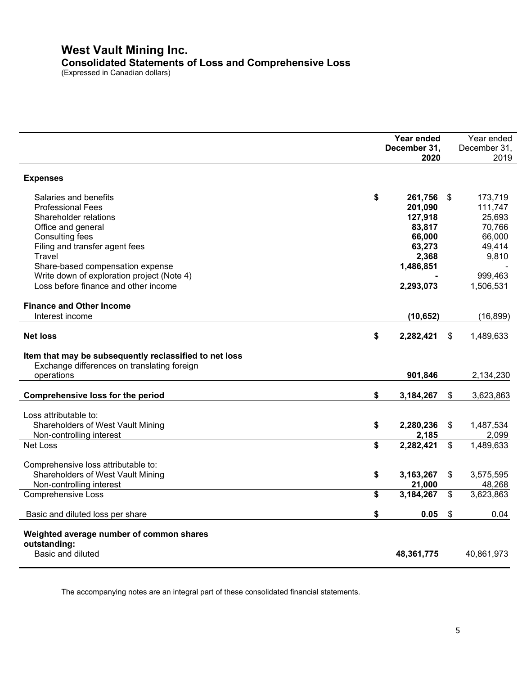## **West Vault Mining Inc. Consolidated Statements of Loss and Comprehensive Loss**

(Expressed in Canadian dollars)

|                                                        | Year ended      |                | Year ended   |
|--------------------------------------------------------|-----------------|----------------|--------------|
|                                                        | December 31,    |                | December 31, |
|                                                        | 2020            |                | 2019         |
| <b>Expenses</b>                                        |                 |                |              |
| Salaries and benefits                                  | \$<br>261,756   | \$             | 173,719      |
| <b>Professional Fees</b>                               | 201,090         |                | 111,747      |
| Shareholder relations                                  | 127,918         |                | 25,693       |
| Office and general                                     | 83,817          |                | 70,766       |
| <b>Consulting fees</b>                                 | 66,000          |                | 66,000       |
| Filing and transfer agent fees                         | 63,273          |                | 49,414       |
| Travel                                                 |                 |                | 9,810        |
|                                                        | 2,368           |                |              |
| Share-based compensation expense                       | 1,486,851       |                |              |
| Write down of exploration project (Note 4)             |                 |                | 999,463      |
| Loss before finance and other income                   | 2,293,073       |                | 1,506,531    |
| <b>Finance and Other Income</b>                        |                 |                |              |
| Interest income                                        | (10, 652)       |                | (16, 899)    |
| <b>Net loss</b>                                        | \$<br>2,282,421 | \$             | 1,489,633    |
| Item that may be subsequently reclassified to net loss |                 |                |              |
| Exchange differences on translating foreign            |                 |                |              |
| operations                                             | 901,846         |                | 2,134,230    |
|                                                        |                 |                |              |
| <b>Comprehensive loss for the period</b>               | \$<br>3,184,267 | $\frac{1}{2}$  | 3,623,863    |
|                                                        |                 |                |              |
| Loss attributable to:                                  |                 |                |              |
| Shareholders of West Vault Mining                      | \$<br>2,280,236 | \$             | 1,487,534    |
| Non-controlling interest                               | 2,185           |                | 2,099        |
| Net Loss                                               | \$<br>2,282,421 | $\mathfrak{s}$ | 1,489,633    |
| Comprehensive loss attributable to:                    |                 |                |              |
| Shareholders of West Vault Mining                      | \$<br>3,163,267 | \$             | 3,575,595    |
| Non-controlling interest                               | 21,000          |                | 48,268       |
| <b>Comprehensive Loss</b>                              | \$<br>3,184,267 | $\mathbb{S}$   | 3,623,863    |
|                                                        |                 |                |              |
| Basic and diluted loss per share                       | \$<br>0.05      | \$             | 0.04         |
| Weighted average number of common shares               |                 |                |              |
| outstanding:                                           |                 |                |              |
| Basic and diluted                                      | 48,361,775      |                | 40,861,973   |
|                                                        |                 |                |              |

The accompanying notes are an integral part of these consolidated financial statements.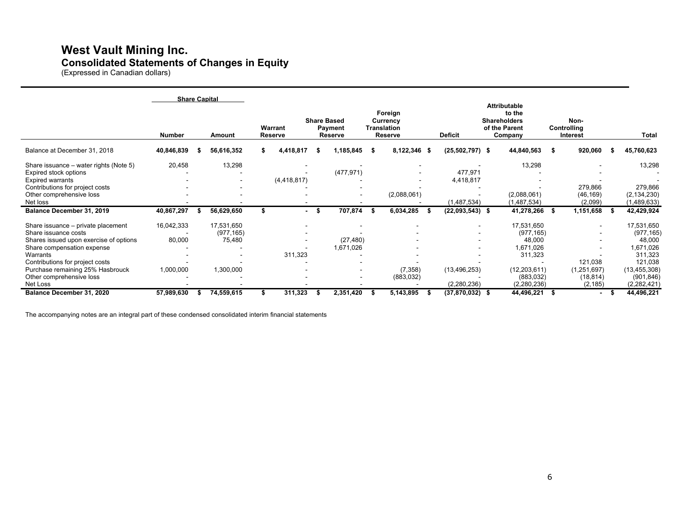## **West Vault Mining Inc. Consolidated Statements of Changes in Equity**

(Expressed in Canadian dollars)

|                                                                                                                                                                                                                                                               | <b>Share Capital</b>              |                                                 |                    |                        |                                                 |      |                                                      |                               |                                                                                                           |      |                                                           |                                                                                                                      |
|---------------------------------------------------------------------------------------------------------------------------------------------------------------------------------------------------------------------------------------------------------------|-----------------------------------|-------------------------------------------------|--------------------|------------------------|-------------------------------------------------|------|------------------------------------------------------|-------------------------------|-----------------------------------------------------------------------------------------------------------|------|-----------------------------------------------------------|----------------------------------------------------------------------------------------------------------------------|
|                                                                                                                                                                                                                                                               | <b>Number</b>                     | Amount                                          | Warrant<br>Reserve |                        | <b>Share Based</b><br>Payment<br><b>Reserve</b> |      | Foreign<br>Currency<br><b>Translation</b><br>Reserve | <b>Deficit</b>                | <b>Attributable</b><br>to the<br><b>Shareholders</b><br>of the Parent<br>Company                          |      | Non-<br>Controlling<br>Interest                           | <b>Total</b>                                                                                                         |
| Balance at December 31, 2018                                                                                                                                                                                                                                  | 40,846,839                        | 56,616,352                                      | 4,418,817          | - 56                   | 1,185,845                                       | - 56 | 8,122,346 \$                                         | $(25,502,797)$ \$             | 44,840,563                                                                                                | £    | 920,060                                                   | 45,760,623                                                                                                           |
| Share issuance – water rights (Note 5)<br>Expired stock options<br><b>Expired warrants</b><br>Contributions for project costs<br>Other comprehensive loss                                                                                                     | 20,458                            | 13,298                                          | (4, 418, 817)      |                        | (477, 971)                                      |      | (2,088,061)                                          | 477,971<br>4,418,817          | 13,298<br>(2,088,061)                                                                                     |      | 279,866<br>(46, 169)                                      | 13,298<br>279,866<br>(2, 134, 230)                                                                                   |
| Net loss                                                                                                                                                                                                                                                      |                                   |                                                 |                    |                        |                                                 |      |                                                      | (1,487,534)                   | (1,487,534)                                                                                               |      | (2,099)                                                   | (1,489,633)                                                                                                          |
| Balance December 31, 2019                                                                                                                                                                                                                                     | 40,867,297                        | 56,629,650                                      |                    | - \$<br>$\blacksquare$ | 707,874                                         |      | 6,034,285                                            | $(22,093,543)$ \$             | 41,278,266                                                                                                | \$   | 1,151,658                                                 | 42,429,924                                                                                                           |
| Share issuance - private placement<br>Share issuance costs<br>Shares issued upon exercise of options<br>Share compensation expense<br>Warrants<br>Contributions for project costs<br>Purchase remaining 25% Hasbrouck<br>Other comprehensive loss<br>Net Loss | 16,042,333<br>80,000<br>1,000,000 | 17,531,650<br>(977, 165)<br>75,480<br>1,300,000 | 311,323            |                        | (27, 480)<br>1,671,026                          |      | $\overline{\phantom{a}}$<br>(7, 358)<br>(883, 032)   | (13, 496, 253)<br>(2,280,236) | 17,531,650<br>(977, 165)<br>48,000<br>1.671.026<br>311,323<br>(12, 203, 611)<br>(883, 032)<br>(2,280,236) |      | $\sim$<br>121,038<br>(1,251,697)<br>(18, 814)<br>(2, 185) | 17,531,650<br>(977, 165)<br>48,000<br>1,671,026<br>311,323<br>121,038<br>(13, 455, 308)<br>(901, 846)<br>(2,282,421) |
| Balance December 31, 2020                                                                                                                                                                                                                                     | 57,989,630                        | 74,559,615                                      | 311,323            |                        | 2,351,420                                       | -55  | 5,143,895                                            | $(37,870,032)$ \$             | 44,496,221                                                                                                | - \$ |                                                           | 44,496,221                                                                                                           |

The accompanying notes are an integral part of these condensed consolidated interim financial statements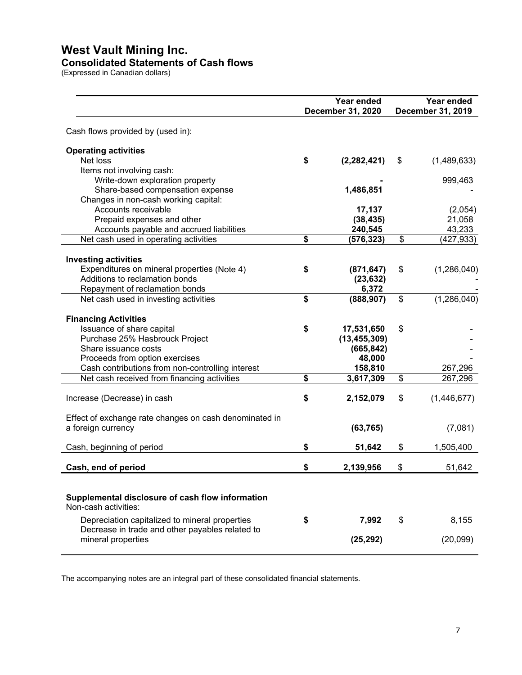## **West Vault Mining Inc.**

#### **Consolidated Statements of Cash flows**

(Expressed in Canadian dollars)

|                                                                                                                 | Year ended<br>December 31, 2020 |                                  | Year ended<br>December 31, 2019 |
|-----------------------------------------------------------------------------------------------------------------|---------------------------------|----------------------------------|---------------------------------|
| Cash flows provided by (used in):                                                                               |                                 |                                  |                                 |
| <b>Operating activities</b><br>Net loss                                                                         | \$                              | (2, 282, 421)                    | \$<br>(1,489,633)               |
| Items not involving cash:<br>Write-down exploration property                                                    |                                 |                                  | 999,463                         |
| Share-based compensation expense<br>Changes in non-cash working capital:                                        |                                 | 1,486,851                        |                                 |
| Accounts receivable<br>Prepaid expenses and other                                                               |                                 | 17,137<br>(38, 435)              | (2,054)<br>21,058               |
| Accounts payable and accrued liabilities<br>Net cash used in operating activities                               | \$                              | 240,545<br>(576, 323)            | \$<br>43,233<br>(427, 933)      |
| <b>Investing activities</b>                                                                                     |                                 |                                  |                                 |
| Expenditures on mineral properties (Note 4)<br>Additions to reclamation bonds<br>Repayment of reclamation bonds | \$                              | (871, 647)<br>(23, 632)<br>6,372 | \$<br>(1, 286, 040)             |
| Net cash used in investing activities                                                                           | \$                              | (888, 907)                       | \$<br>(1, 286, 040)             |
| <b>Financing Activities</b>                                                                                     |                                 |                                  |                                 |
| Issuance of share capital<br>Purchase 25% Hasbrouck Project                                                     | \$                              | 17,531,650<br>(13, 455, 309)     | \$                              |
| Share issuance costs<br>Proceeds from option exercises                                                          |                                 | (665, 842)<br>48,000             |                                 |
| Cash contributions from non-controlling interest<br>Net cash received from financing activities                 | \$                              | 158,810<br>3,617,309             | \$<br>267,296<br>267,296        |
| Increase (Decrease) in cash                                                                                     | \$                              | 2,152,079                        | \$<br>(1,446,677)               |
| Effect of exchange rate changes on cash denominated in<br>a foreign currency                                    |                                 | (63, 765)                        | (7,081)                         |
| Cash, beginning of period                                                                                       | \$                              | 51,642                           | \$<br>1,505,400                 |
| Cash, end of period                                                                                             | \$                              | 2,139,956                        | \$<br>51,642                    |
| Supplemental disclosure of cash flow information<br>Non-cash activities:                                        |                                 |                                  |                                 |
| Depreciation capitalized to mineral properties                                                                  | \$                              | 7,992                            | \$<br>8,155                     |
| Decrease in trade and other payables related to<br>mineral properties                                           |                                 | (25, 292)                        | (20,099)                        |

The accompanying notes are an integral part of these consolidated financial statements.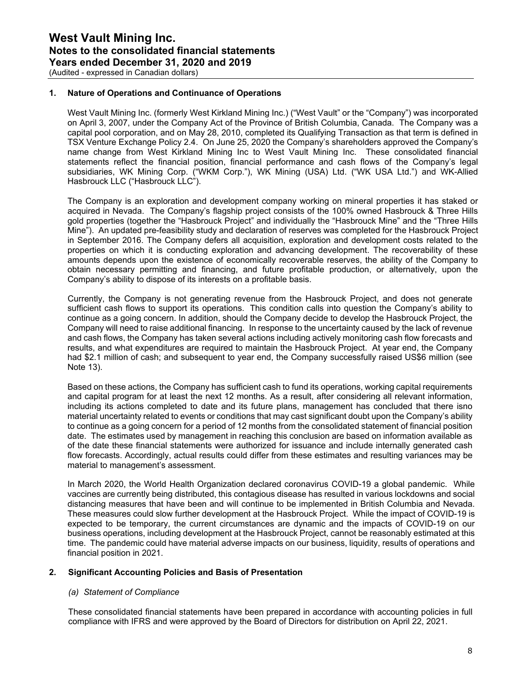(Audited - expressed in Canadian dollars)

#### **1. Nature of Operations and Continuance of Operations**

West Vault Mining Inc. (formerly West Kirkland Mining Inc.) ("West Vault" or the "Company") was incorporated on April 3, 2007, under the Company Act of the Province of British Columbia, Canada. The Company was a capital pool corporation, and on May 28, 2010, completed its Qualifying Transaction as that term is defined in TSX Venture Exchange Policy 2.4. On June 25, 2020 the Company's shareholders approved the Company's name change from West Kirkland Mining Inc to West Vault Mining Inc. These consolidated financial statements reflect the financial position, financial performance and cash flows of the Company's legal subsidiaries, WK Mining Corp. ("WKM Corp."), WK Mining (USA) Ltd. ("WK USA Ltd.") and WK-Allied Hasbrouck LLC ("Hasbrouck LLC").

The Company is an exploration and development company working on mineral properties it has staked or acquired in Nevada. The Company's flagship project consists of the 100% owned Hasbrouck & Three Hills gold properties (together the "Hasbrouck Project" and individually the "Hasbrouck Mine" and the "Three Hills Mine"). An updated pre-feasibility study and declaration of reserves was completed for the Hasbrouck Project in September 2016. The Company defers all acquisition, exploration and development costs related to the properties on which it is conducting exploration and advancing development. The recoverability of these amounts depends upon the existence of economically recoverable reserves, the ability of the Company to obtain necessary permitting and financing, and future profitable production, or alternatively, upon the Company's ability to dispose of its interests on a profitable basis.

Currently, the Company is not generating revenue from the Hasbrouck Project, and does not generate sufficient cash flows to support its operations. This condition calls into question the Company's ability to continue as a going concern. In addition, should the Company decide to develop the Hasbrouck Project, the Company will need to raise additional financing. In response to the uncertainty caused by the lack of revenue and cash flows, the Company has taken several actions including actively monitoring cash flow forecasts and results, and what expenditures are required to maintain the Hasbrouck Project. At year end, the Company had \$2.1 million of cash; and subsequent to year end, the Company successfully raised US\$6 million (see Note 13).

Based on these actions, the Company has sufficient cash to fund its operations, working capital requirements and capital program for at least the next 12 months. As a result, after considering all relevant information, including its actions completed to date and its future plans, management has concluded that there isno material uncertainty related to events or conditions that may cast significant doubt upon the Company's ability to continue as a going concern for a period of 12 months from the consolidated statement of financial position date. The estimates used by management in reaching this conclusion are based on information available as of the date these financial statements were authorized for issuance and include internally generated cash flow forecasts. Accordingly, actual results could differ from these estimates and resulting variances may be material to management's assessment.

In March 2020, the World Health Organization declared coronavirus COVID-19 a global pandemic. While vaccines are currently being distributed, this contagious disease has resulted in various lockdowns and social distancing measures that have been and will continue to be implemented in British Columbia and Nevada. These measures could slow further development at the Hasbrouck Project. While the impact of COVID-19 is expected to be temporary, the current circumstances are dynamic and the impacts of COVID-19 on our business operations, including development at the Hasbrouck Project, cannot be reasonably estimated at this time. The pandemic could have material adverse impacts on our business, liquidity, results of operations and financial position in 2021.

#### **2. Significant Accounting Policies and Basis of Presentation**

#### *(a) Statement of Compliance*

These consolidated financial statements have been prepared in accordance with accounting policies in full compliance with IFRS and were approved by the Board of Directors for distribution on April 22, 2021.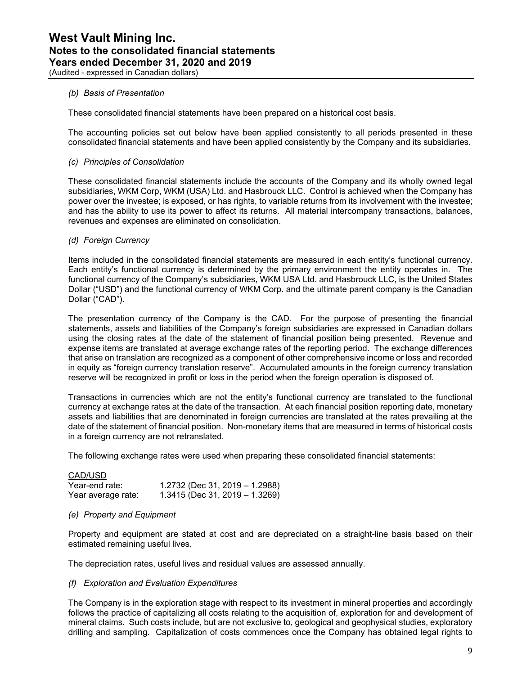(Audited - expressed in Canadian dollars)

#### *(b) Basis of Presentation*

These consolidated financial statements have been prepared on a historical cost basis.

The accounting policies set out below have been applied consistently to all periods presented in these consolidated financial statements and have been applied consistently by the Company and its subsidiaries.

#### *(c) Principles of Consolidation*

These consolidated financial statements include the accounts of the Company and its wholly owned legal subsidiaries, WKM Corp, WKM (USA) Ltd. and Hasbrouck LLC. Control is achieved when the Company has power over the investee; is exposed, or has rights, to variable returns from its involvement with the investee; and has the ability to use its power to affect its returns. All material intercompany transactions, balances, revenues and expenses are eliminated on consolidation.

#### *(d) Foreign Currency*

Items included in the consolidated financial statements are measured in each entity's functional currency. Each entity's functional currency is determined by the primary environment the entity operates in. The functional currency of the Company's subsidiaries, WKM USA Ltd. and Hasbrouck LLC, is the United States Dollar ("USD") and the functional currency of WKM Corp. and the ultimate parent company is the Canadian Dollar ("CAD").

The presentation currency of the Company is the CAD. For the purpose of presenting the financial statements, assets and liabilities of the Company's foreign subsidiaries are expressed in Canadian dollars using the closing rates at the date of the statement of financial position being presented. Revenue and expense items are translated at average exchange rates of the reporting period. The exchange differences that arise on translation are recognized as a component of other comprehensive income or loss and recorded in equity as "foreign currency translation reserve". Accumulated amounts in the foreign currency translation reserve will be recognized in profit or loss in the period when the foreign operation is disposed of.

Transactions in currencies which are not the entity's functional currency are translated to the functional currency at exchange rates at the date of the transaction. At each financial position reporting date, monetary assets and liabilities that are denominated in foreign currencies are translated at the rates prevailing at the date of the statement of financial position. Non-monetary items that are measured in terms of historical costs in a foreign currency are not retranslated.

The following exchange rates were used when preparing these consolidated financial statements:

#### CAD/USD

| Year-end rate:     | $1.2732$ (Dec 31, 2019 – 1.2988) |
|--------------------|----------------------------------|
| Year average rate: | $1.3415$ (Dec 31, 2019 – 1.3269) |

#### *(e) Property and Equipment*

Property and equipment are stated at cost and are depreciated on a straight-line basis based on their estimated remaining useful lives.

The depreciation rates, useful lives and residual values are assessed annually.

#### *(f) Exploration and Evaluation Expenditures*

The Company is in the exploration stage with respect to its investment in mineral properties and accordingly follows the practice of capitalizing all costs relating to the acquisition of, exploration for and development of mineral claims. Such costs include, but are not exclusive to, geological and geophysical studies, exploratory drilling and sampling. Capitalization of costs commences once the Company has obtained legal rights to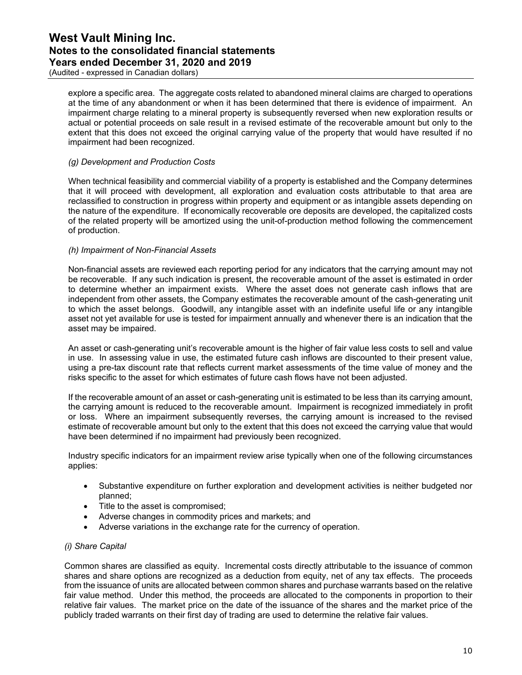(Audited - expressed in Canadian dollars)

explore a specific area. The aggregate costs related to abandoned mineral claims are charged to operations at the time of any abandonment or when it has been determined that there is evidence of impairment. An impairment charge relating to a mineral property is subsequently reversed when new exploration results or actual or potential proceeds on sale result in a revised estimate of the recoverable amount but only to the extent that this does not exceed the original carrying value of the property that would have resulted if no impairment had been recognized.

#### *(g) Development and Production Costs*

When technical feasibility and commercial viability of a property is established and the Company determines that it will proceed with development, all exploration and evaluation costs attributable to that area are reclassified to construction in progress within property and equipment or as intangible assets depending on the nature of the expenditure. If economically recoverable ore deposits are developed, the capitalized costs of the related property will be amortized using the unit-of-production method following the commencement of production.

#### *(h) Impairment of Non-Financial Assets*

Non-financial assets are reviewed each reporting period for any indicators that the carrying amount may not be recoverable. If any such indication is present, the recoverable amount of the asset is estimated in order to determine whether an impairment exists. Where the asset does not generate cash inflows that are independent from other assets, the Company estimates the recoverable amount of the cash-generating unit to which the asset belongs. Goodwill, any intangible asset with an indefinite useful life or any intangible asset not yet available for use is tested for impairment annually and whenever there is an indication that the asset may be impaired.

An asset or cash-generating unit's recoverable amount is the higher of fair value less costs to sell and value in use. In assessing value in use, the estimated future cash inflows are discounted to their present value, using a pre-tax discount rate that reflects current market assessments of the time value of money and the risks specific to the asset for which estimates of future cash flows have not been adjusted.

If the recoverable amount of an asset or cash-generating unit is estimated to be less than its carrying amount, the carrying amount is reduced to the recoverable amount. Impairment is recognized immediately in profit or loss. Where an impairment subsequently reverses, the carrying amount is increased to the revised estimate of recoverable amount but only to the extent that this does not exceed the carrying value that would have been determined if no impairment had previously been recognized.

Industry specific indicators for an impairment review arise typically when one of the following circumstances applies:

- Substantive expenditure on further exploration and development activities is neither budgeted nor planned;
- Title to the asset is compromised;
- Adverse changes in commodity prices and markets; and
- Adverse variations in the exchange rate for the currency of operation.

#### *(i) Share Capital*

Common shares are classified as equity. Incremental costs directly attributable to the issuance of common shares and share options are recognized as a deduction from equity, net of any tax effects. The proceeds from the issuance of units are allocated between common shares and purchase warrants based on the relative fair value method. Under this method, the proceeds are allocated to the components in proportion to their relative fair values. The market price on the date of the issuance of the shares and the market price of the publicly traded warrants on their first day of trading are used to determine the relative fair values.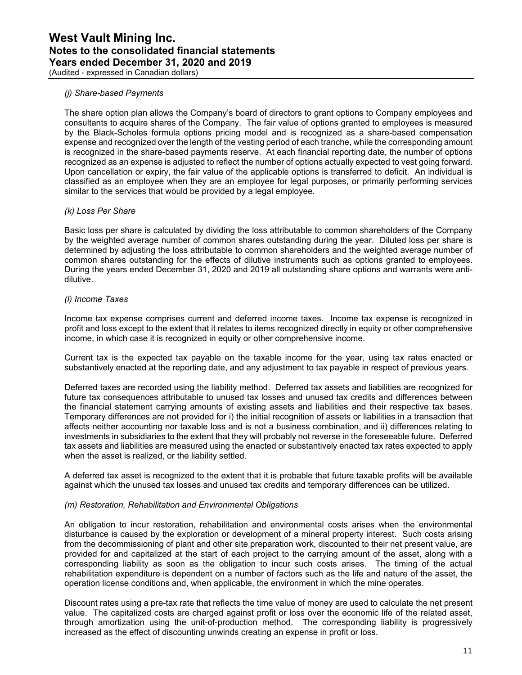(Audited - expressed in Canadian dollars)

#### *(j) Share-based Payments*

The share option plan allows the Company's board of directors to grant options to Company employees and consultants to acquire shares of the Company. The fair value of options granted to employees is measured by the Black-Scholes formula options pricing model and is recognized as a share-based compensation expense and recognized over the length of the vesting period of each tranche, while the corresponding amount is recognized in the share-based payments reserve. At each financial reporting date, the number of options recognized as an expense is adjusted to reflect the number of options actually expected to vest going forward. Upon cancellation or expiry, the fair value of the applicable options is transferred to deficit. An individual is classified as an employee when they are an employee for legal purposes, or primarily performing services similar to the services that would be provided by a legal employee.

#### *(k) Loss Per Share*

Basic loss per share is calculated by dividing the loss attributable to common shareholders of the Company by the weighted average number of common shares outstanding during the year. Diluted loss per share is determined by adjusting the loss attributable to common shareholders and the weighted average number of common shares outstanding for the effects of dilutive instruments such as options granted to employees. During the years ended December 31, 2020 and 2019 all outstanding share options and warrants were antidilutive.

#### *(l) Income Taxes*

Income tax expense comprises current and deferred income taxes. Income tax expense is recognized in profit and loss except to the extent that it relates to items recognized directly in equity or other comprehensive income, in which case it is recognized in equity or other comprehensive income.

Current tax is the expected tax payable on the taxable income for the year, using tax rates enacted or substantively enacted at the reporting date, and any adjustment to tax payable in respect of previous years.

Deferred taxes are recorded using the liability method. Deferred tax assets and liabilities are recognized for future tax consequences attributable to unused tax losses and unused tax credits and differences between the financial statement carrying amounts of existing assets and liabilities and their respective tax bases. Temporary differences are not provided for i) the initial recognition of assets or liabilities in a transaction that affects neither accounting nor taxable loss and is not a business combination, and ii) differences relating to investments in subsidiaries to the extent that they will probably not reverse in the foreseeable future. Deferred tax assets and liabilities are measured using the enacted or substantively enacted tax rates expected to apply when the asset is realized, or the liability settled.

A deferred tax asset is recognized to the extent that it is probable that future taxable profits will be available against which the unused tax losses and unused tax credits and temporary differences can be utilized.

#### *(m) Restoration, Rehabilitation and Environmental Obligations*

An obligation to incur restoration, rehabilitation and environmental costs arises when the environmental disturbance is caused by the exploration or development of a mineral property interest. Such costs arising from the decommissioning of plant and other site preparation work, discounted to their net present value, are provided for and capitalized at the start of each project to the carrying amount of the asset, along with a corresponding liability as soon as the obligation to incur such costs arises. The timing of the actual rehabilitation expenditure is dependent on a number of factors such as the life and nature of the asset, the operation license conditions and, when applicable, the environment in which the mine operates.

Discount rates using a pre-tax rate that reflects the time value of money are used to calculate the net present value. The capitalized costs are charged against profit or loss over the economic life of the related asset, through amortization using the unit-of-production method. The corresponding liability is progressively increased as the effect of discounting unwinds creating an expense in profit or loss.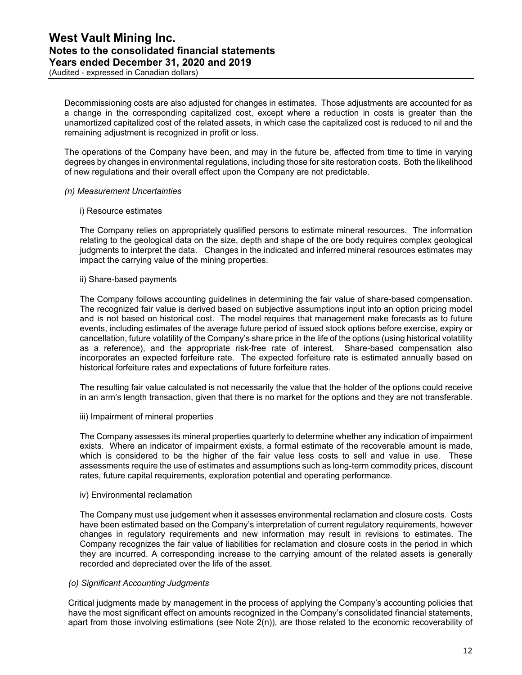(Audited - expressed in Canadian dollars)

Decommissioning costs are also adjusted for changes in estimates. Those adjustments are accounted for as a change in the corresponding capitalized cost, except where a reduction in costs is greater than the unamortized capitalized cost of the related assets, in which case the capitalized cost is reduced to nil and the remaining adjustment is recognized in profit or loss.

The operations of the Company have been, and may in the future be, affected from time to time in varying degrees by changes in environmental regulations, including those for site restoration costs. Both the likelihood of new regulations and their overall effect upon the Company are not predictable.

#### *(n) Measurement Uncertainties*

#### i) Resource estimates

The Company relies on appropriately qualified persons to estimate mineral resources. The information relating to the geological data on the size, depth and shape of the ore body requires complex geological judgments to interpret the data. Changes in the indicated and inferred mineral resources estimates may impact the carrying value of the mining properties.

#### ii) Share-based payments

The Company follows accounting guidelines in determining the fair value of share-based compensation. The recognized fair value is derived based on subjective assumptions input into an option pricing model and is not based on historical cost. The model requires that management make forecasts as to future events, including estimates of the average future period of issued stock options before exercise, expiry or cancellation, future volatility of the Company's share price in the life of the options (using historical volatility as a reference), and the appropriate risk-free rate of interest. Share-based compensation also incorporates an expected forfeiture rate. The expected forfeiture rate is estimated annually based on historical forfeiture rates and expectations of future forfeiture rates.

The resulting fair value calculated is not necessarily the value that the holder of the options could receive in an arm's length transaction, given that there is no market for the options and they are not transferable.

#### iii) Impairment of mineral properties

The Company assesses its mineral properties quarterly to determine whether any indication of impairment exists. Where an indicator of impairment exists, a formal estimate of the recoverable amount is made, which is considered to be the higher of the fair value less costs to sell and value in use. These assessments require the use of estimates and assumptions such as long-term commodity prices, discount rates, future capital requirements, exploration potential and operating performance.

#### iv) Environmental reclamation

The Company must use judgement when it assesses environmental reclamation and closure costs. Costs have been estimated based on the Company's interpretation of current regulatory requirements, however changes in regulatory requirements and new information may result in revisions to estimates. The Company recognizes the fair value of liabilities for reclamation and closure costs in the period in which they are incurred. A corresponding increase to the carrying amount of the related assets is generally recorded and depreciated over the life of the asset.

#### *(o) Significant Accounting Judgments*

Critical judgments made by management in the process of applying the Company's accounting policies that have the most significant effect on amounts recognized in the Company's consolidated financial statements, apart from those involving estimations (see Note 2(n)), are those related to the economic recoverability of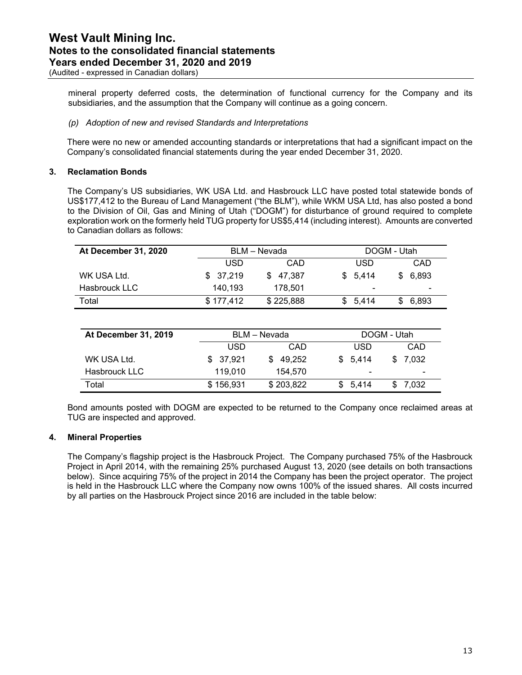(Audited - expressed in Canadian dollars)

mineral property deferred costs, the determination of functional currency for the Company and its subsidiaries, and the assumption that the Company will continue as a going concern.

#### *(p) Adoption of new and revised Standards and Interpretations*

There were no new or amended accounting standards or interpretations that had a significant impact on the Company's consolidated financial statements during the year ended December 31, 2020.

#### **3. Reclamation Bonds**

The Company's US subsidiaries, WK USA Ltd. and Hasbrouck LLC have posted total statewide bonds of US\$177,412 to the Bureau of Land Management ("the BLM"), while WKM USA Ltd, has also posted a bond to the Division of Oil, Gas and Mining of Utah ("DOGM") for disturbance of ground required to complete exploration work on the formerly held TUG property for US\$5,414 (including interest). Amounts are converted to Canadian dollars as follows:

| At December 31, 2020 |            | BLM – Nevada |                          | DOGM - Utah              |
|----------------------|------------|--------------|--------------------------|--------------------------|
|                      | <b>USD</b> | CAD          | USD                      | CAD                      |
| WK USA Ltd.          | \$ 37.219  | \$47.387     | \$5.414                  | \$ 6.893                 |
| Hasbrouck LLC        | 140.193    | 178.501      | $\overline{\phantom{0}}$ | $\overline{\phantom{0}}$ |
| Total                | \$177.412  | \$225,888    | \$5.414                  | \$6,893                  |

| At December 31, 2019 |           | BLM - Nevada  | DOGM - Utah              |                          |
|----------------------|-----------|---------------|--------------------------|--------------------------|
|                      | USD       | CAD           | USD                      | CAD                      |
| WK USA Ltd.          | \$ 37,921 | 49.252<br>SS. | \$5.414                  | \$ 7.032                 |
| Hasbrouck LLC        | 119.010   | 154.570       | $\overline{\phantom{0}}$ | $\overline{\phantom{0}}$ |
| Total                | \$156,931 | \$203,822     | \$5.414                  | \$ 7.032                 |

Bond amounts posted with DOGM are expected to be returned to the Company once reclaimed areas at TUG are inspected and approved.

#### **4. Mineral Properties**

The Company's flagship project is the Hasbrouck Project. The Company purchased 75% of the Hasbrouck Project in April 2014, with the remaining 25% purchased August 13, 2020 (see details on both transactions below). Since acquiring 75% of the project in 2014 the Company has been the project operator. The project is held in the Hasbrouck LLC where the Company now owns 100% of the issued shares. All costs incurred by all parties on the Hasbrouck Project since 2016 are included in the table below: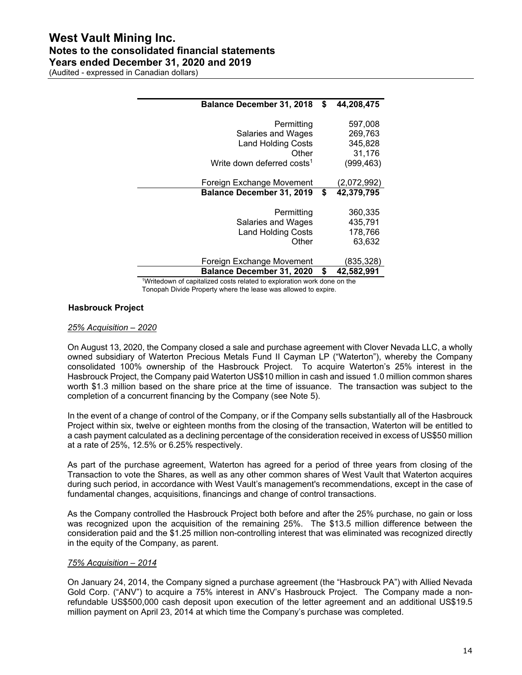(Audited - expressed in Canadian dollars)

| <b>Balance December 31, 2018</b>       | \$<br>44,208,475 |
|----------------------------------------|------------------|
| Permitting                             | 597,008          |
| Salaries and Wages                     | 269,763          |
| <b>Land Holding Costs</b>              | 345,828          |
| Other                                  | 31,176           |
| Write down deferred costs <sup>1</sup> | (999, 463)       |
| Foreign Exchange Movement              | (2,072,992)      |
| <b>Balance December 31, 2019</b>       | \$<br>42,379,795 |
| Permitting                             | 360,335          |
| Salaries and Wages                     | 435,791          |
| <b>Land Holding Costs</b>              | 178,766          |
| Other                                  | 63,632           |
| Foreign Exchange Movement              | (835,328)        |
| <b>Balance December 31, 2020</b>       | \$<br>42,582,991 |

<sup>1</sup>Writedown of capitalized costs related to exploration work done on the Tonopah Divide Property where the lease was allowed to expire.

#### **Hasbrouck Project**

#### *25% Acquisition – 2020*

On August 13, 2020, the Company closed a sale and purchase agreement with Clover Nevada LLC, a wholly owned subsidiary of Waterton Precious Metals Fund II Cayman LP ("Waterton"), whereby the Company consolidated 100% ownership of the Hasbrouck Project. To acquire Waterton's 25% interest in the Hasbrouck Project, the Company paid Waterton US\$10 million in cash and issued 1.0 million common shares worth \$1.3 million based on the share price at the time of issuance. The transaction was subject to the completion of a concurrent financing by the Company (see Note 5).

In the event of a change of control of the Company, or if the Company sells substantially all of the Hasbrouck Project within six, twelve or eighteen months from the closing of the transaction, Waterton will be entitled to a cash payment calculated as a declining percentage of the consideration received in excess of US\$50 million at a rate of 25%, 12.5% or 6.25% respectively.

As part of the purchase agreement, Waterton has agreed for a period of three years from closing of the Transaction to vote the Shares, as well as any other common shares of West Vault that Waterton acquires during such period, in accordance with West Vault's management's recommendations, except in the case of fundamental changes, acquisitions, financings and change of control transactions.

As the Company controlled the Hasbrouck Project both before and after the 25% purchase, no gain or loss was recognized upon the acquisition of the remaining 25%. The \$13.5 million difference between the consideration paid and the \$1.25 million non-controlling interest that was eliminated was recognized directly in the equity of the Company, as parent.

#### *75% Acquisition – 2014*

On January 24, 2014, the Company signed a purchase agreement (the "Hasbrouck PA") with Allied Nevada Gold Corp. ("ANV") to acquire a 75% interest in ANV's Hasbrouck Project. The Company made a nonrefundable US\$500,000 cash deposit upon execution of the letter agreement and an additional US\$19.5 million payment on April 23, 2014 at which time the Company's purchase was completed.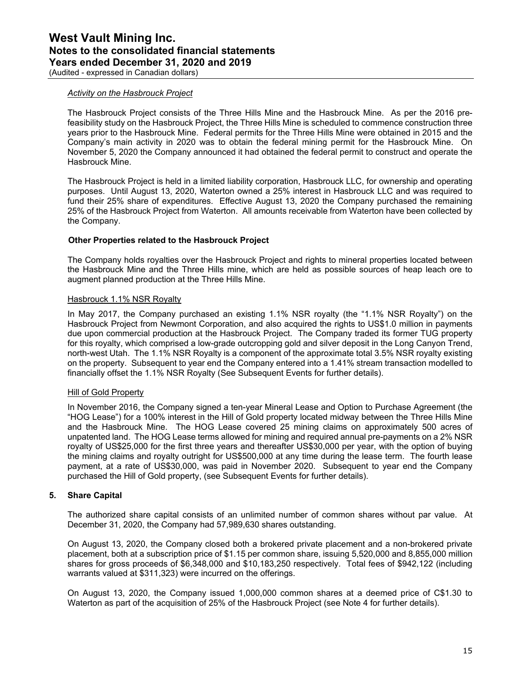(Audited - expressed in Canadian dollars)

#### *Activity on the Hasbrouck Project*

The Hasbrouck Project consists of the Three Hills Mine and the Hasbrouck Mine. As per the 2016 prefeasibility study on the Hasbrouck Project, the Three Hills Mine is scheduled to commence construction three years prior to the Hasbrouck Mine. Federal permits for the Three Hills Mine were obtained in 2015 and the Company's main activity in 2020 was to obtain the federal mining permit for the Hasbrouck Mine. On November 5, 2020 the Company announced it had obtained the federal permit to construct and operate the Hasbrouck Mine.

The Hasbrouck Project is held in a limited liability corporation, Hasbrouck LLC, for ownership and operating purposes. Until August 13, 2020, Waterton owned a 25% interest in Hasbrouck LLC and was required to fund their 25% share of expenditures. Effective August 13, 2020 the Company purchased the remaining 25% of the Hasbrouck Project from Waterton. All amounts receivable from Waterton have been collected by the Company.

#### **Other Properties related to the Hasbrouck Project**

The Company holds royalties over the Hasbrouck Project and rights to mineral properties located between the Hasbrouck Mine and the Three Hills mine, which are held as possible sources of heap leach ore to augment planned production at the Three Hills Mine.

#### Hasbrouck 1.1% NSR Royalty

In May 2017, the Company purchased an existing 1.1% NSR royalty (the "1.1% NSR Royalty") on the Hasbrouck Project from Newmont Corporation, and also acquired the rights to US\$1.0 million in payments due upon commercial production at the Hasbrouck Project. The Company traded its former TUG property for this royalty, which comprised a low-grade outcropping gold and silver deposit in the Long Canyon Trend, north-west Utah. The 1.1% NSR Royalty is a component of the approximate total 3.5% NSR royalty existing on the property. Subsequent to year end the Company entered into a 1.41% stream transaction modelled to financially offset the 1.1% NSR Royalty (See Subsequent Events for further details).

#### Hill of Gold Property

In November 2016, the Company signed a ten-year Mineral Lease and Option to Purchase Agreement (the "HOG Lease") for a 100% interest in the Hill of Gold property located midway between the Three Hills Mine and the Hasbrouck Mine. The HOG Lease covered 25 mining claims on approximately 500 acres of unpatented land. The HOG Lease terms allowed for mining and required annual pre-payments on a 2% NSR royalty of US\$25,000 for the first three years and thereafter US\$30,000 per year, with the option of buying the mining claims and royalty outright for US\$500,000 at any time during the lease term. The fourth lease payment, at a rate of US\$30,000, was paid in November 2020. Subsequent to year end the Company purchased the Hill of Gold property, (see Subsequent Events for further details).

#### **5. Share Capital**

The authorized share capital consists of an unlimited number of common shares without par value. At December 31, 2020, the Company had 57,989,630 shares outstanding.

On August 13, 2020, the Company closed both a brokered private placement and a non-brokered private placement, both at a subscription price of \$1.15 per common share, issuing 5,520,000 and 8,855,000 million shares for gross proceeds of \$6,348,000 and \$10,183,250 respectively. Total fees of \$942,122 (including warrants valued at \$311,323) were incurred on the offerings.

On August 13, 2020, the Company issued 1,000,000 common shares at a deemed price of C\$1.30 to Waterton as part of the acquisition of 25% of the Hasbrouck Project (see Note 4 for further details).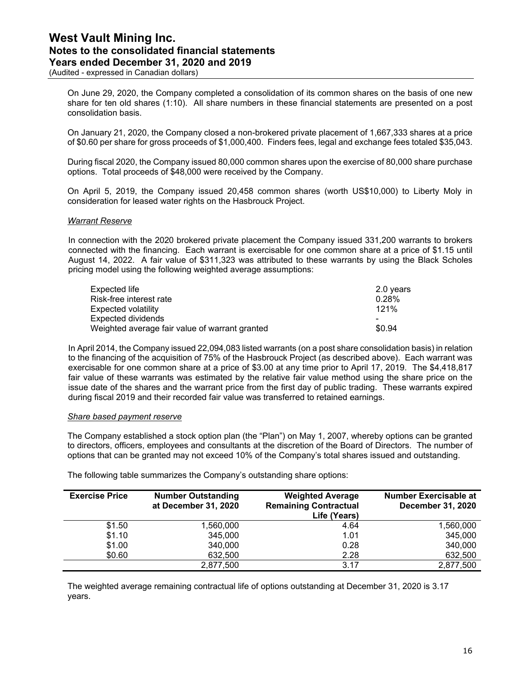(Audited - expressed in Canadian dollars)

On June 29, 2020, the Company completed a consolidation of its common shares on the basis of one new share for ten old shares (1:10). All share numbers in these financial statements are presented on a post consolidation basis.

On January 21, 2020, the Company closed a non-brokered private placement of 1,667,333 shares at a price of \$0.60 per share for gross proceeds of \$1,000,400. Finders fees, legal and exchange fees totaled \$35,043.

During fiscal 2020, the Company issued 80,000 common shares upon the exercise of 80,000 share purchase options. Total proceeds of \$48,000 were received by the Company.

On April 5, 2019, the Company issued 20,458 common shares (worth US\$10,000) to Liberty Moly in consideration for leased water rights on the Hasbrouck Project.

#### *Warrant Reserve*

In connection with the 2020 brokered private placement the Company issued 331,200 warrants to brokers connected with the financing. Each warrant is exercisable for one common share at a price of \$1.15 until August 14, 2022. A fair value of \$311,323 was attributed to these warrants by using the Black Scholes pricing model using the following weighted average assumptions:

| Expected life                                  | 2.0 years |
|------------------------------------------------|-----------|
| Risk-free interest rate                        | $0.28\%$  |
| Expected volatility                            | 121%      |
| Expected dividends                             | -         |
| Weighted average fair value of warrant granted | \$0.94    |

In April 2014, the Company issued 22,094,083 listed warrants (on a post share consolidation basis) in relation to the financing of the acquisition of 75% of the Hasbrouck Project (as described above). Each warrant was exercisable for one common share at a price of \$3.00 at any time prior to April 17, 2019. The \$4,418,817 fair value of these warrants was estimated by the relative fair value method using the share price on the issue date of the shares and the warrant price from the first day of public trading. These warrants expired during fiscal 2019 and their recorded fair value was transferred to retained earnings.

#### *Share based payment reserve*

The Company established a stock option plan (the "Plan") on May 1, 2007, whereby options can be granted to directors, officers, employees and consultants at the discretion of the Board of Directors. The number of options that can be granted may not exceed 10% of the Company's total shares issued and outstanding.

**Exercise Price Number Outstanding at December 31, 2020 Weighted Average Remaining Contractual Life (Years) Number Exercisable at December 31, 2020**  \$1.50 1,560,000 4.64 1,560,000  $$1.10$  345,000 345,000 1.01 345,000 \$1.00 340,000 0.28 340,000 \$0.60 632,500 2.28 632,500 2,877,500 3.17 2,877,500

The following table summarizes the Company's outstanding share options:

The weighted average remaining contractual life of options outstanding at December 31, 2020 is 3.17 years.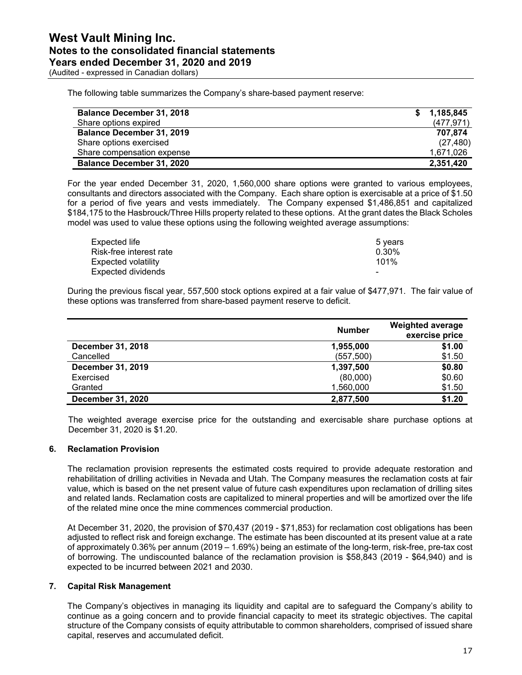The following table summarizes the Company's share-based payment reserve:

| <b>Balance December 31, 2018</b> | 1,185,845  |
|----------------------------------|------------|
| Share options expired            | (477, 971) |
| <b>Balance December 31, 2019</b> | 707.874    |
| Share options exercised          | (27, 480)  |
| Share compensation expense       | 1.671.026  |
| <b>Balance December 31, 2020</b> | 2,351,420  |

For the year ended December 31, 2020, 1,560,000 share options were granted to various employees, consultants and directors associated with the Company. Each share option is exercisable at a price of \$1.50 for a period of five years and vests immediately. The Company expensed \$1,486,851 and capitalized \$184,175 to the Hasbrouck/Three Hills property related to these options. At the grant dates the Black Scholes model was used to value these options using the following weighted average assumptions:

| Expected life           | 5 years |
|-------------------------|---------|
| Risk-free interest rate | 0.30%   |
| Expected volatility     | 101%    |
| Expected dividends      | -       |

During the previous fiscal year, 557,500 stock options expired at a fair value of \$477,971. The fair value of these options was transferred from share-based payment reserve to deficit.

|                          | <b>Number</b> | <b>Weighted average</b><br>exercise price |
|--------------------------|---------------|-------------------------------------------|
| <b>December 31, 2018</b> | 1,955,000     | \$1.00                                    |
| Cancelled                | (557, 500)    | \$1.50                                    |
| December 31, 2019        | 1,397,500     | \$0.80                                    |
| Exercised                | (80,000)      | \$0.60                                    |
| Granted                  | 1,560,000     | \$1.50                                    |
| <b>December 31, 2020</b> | 2,877,500     | \$1.20                                    |

The weighted average exercise price for the outstanding and exercisable share purchase options at December 31, 2020 is \$1.20.

#### **6. Reclamation Provision**

The reclamation provision represents the estimated costs required to provide adequate restoration and rehabilitation of drilling activities in Nevada and Utah. The Company measures the reclamation costs at fair value, which is based on the net present value of future cash expenditures upon reclamation of drilling sites and related lands. Reclamation costs are capitalized to mineral properties and will be amortized over the life of the related mine once the mine commences commercial production.

At December 31, 2020, the provision of \$70,437 (2019 - \$71,853) for reclamation cost obligations has been adjusted to reflect risk and foreign exchange. The estimate has been discounted at its present value at a rate of approximately 0.36% per annum (2019 – 1.69%) being an estimate of the long-term, risk-free, pre-tax cost of borrowing. The undiscounted balance of the reclamation provision is \$58,843 (2019 - \$64,940) and is expected to be incurred between 2021 and 2030.

#### **7. Capital Risk Management**

The Company's objectives in managing its liquidity and capital are to safeguard the Company's ability to continue as a going concern and to provide financial capacity to meet its strategic objectives. The capital structure of the Company consists of equity attributable to common shareholders, comprised of issued share capital, reserves and accumulated deficit.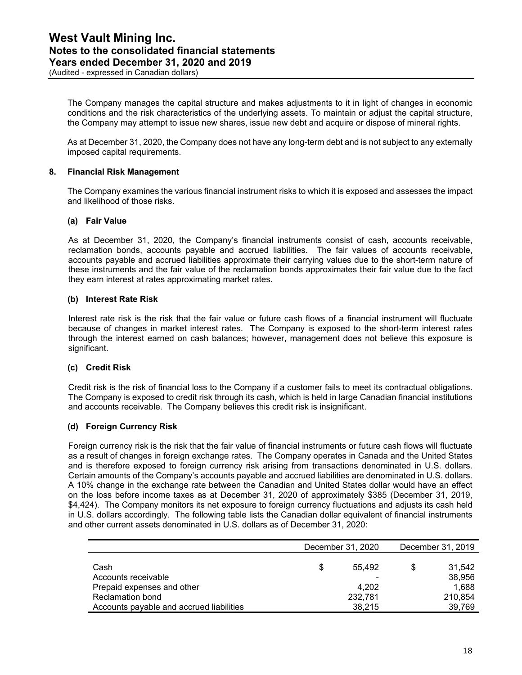(Audited - expressed in Canadian dollars)

The Company manages the capital structure and makes adjustments to it in light of changes in economic conditions and the risk characteristics of the underlying assets. To maintain or adjust the capital structure, the Company may attempt to issue new shares, issue new debt and acquire or dispose of mineral rights.

As at December 31, 2020, the Company does not have any long-term debt and is not subject to any externally imposed capital requirements.

#### **8. Financial Risk Management**

The Company examines the various financial instrument risks to which it is exposed and assesses the impact and likelihood of those risks.

#### **(a) Fair Value**

As at December 31, 2020, the Company's financial instruments consist of cash, accounts receivable, reclamation bonds, accounts payable and accrued liabilities. The fair values of accounts receivable, accounts payable and accrued liabilities approximate their carrying values due to the short-term nature of these instruments and the fair value of the reclamation bonds approximates their fair value due to the fact they earn interest at rates approximating market rates.

#### **(b) Interest Rate Risk**

Interest rate risk is the risk that the fair value or future cash flows of a financial instrument will fluctuate because of changes in market interest rates. The Company is exposed to the short-term interest rates through the interest earned on cash balances; however, management does not believe this exposure is significant.

#### **(c) Credit Risk**

Credit risk is the risk of financial loss to the Company if a customer fails to meet its contractual obligations. The Company is exposed to credit risk through its cash, which is held in large Canadian financial institutions and accounts receivable. The Company believes this credit risk is insignificant.

#### **(d) Foreign Currency Risk**

Foreign currency risk is the risk that the fair value of financial instruments or future cash flows will fluctuate as a result of changes in foreign exchange rates. The Company operates in Canada and the United States and is therefore exposed to foreign currency risk arising from transactions denominated in U.S. dollars. Certain amounts of the Company's accounts payable and accrued liabilities are denominated in U.S. dollars. A 10% change in the exchange rate between the Canadian and United States dollar would have an effect on the loss before income taxes as at December 31, 2020 of approximately \$385 (December 31, 2019, \$4,424). The Company monitors its net exposure to foreign currency fluctuations and adjusts its cash held in U.S. dollars accordingly. The following table lists the Canadian dollar equivalent of financial instruments and other current assets denominated in U.S. dollars as of December 31, 2020:

|                                          |   | December 31, 2020 | December 31, 2019 |         |  |
|------------------------------------------|---|-------------------|-------------------|---------|--|
|                                          |   |                   |                   |         |  |
| Cash                                     | S | 55.492            | S                 | 31.542  |  |
| Accounts receivable                      |   |                   |                   | 38,956  |  |
| Prepaid expenses and other               |   | 4.202             |                   | 1.688   |  |
| <b>Reclamation bond</b>                  |   | 232,781           |                   | 210.854 |  |
| Accounts payable and accrued liabilities |   | 38.215            |                   | 39.769  |  |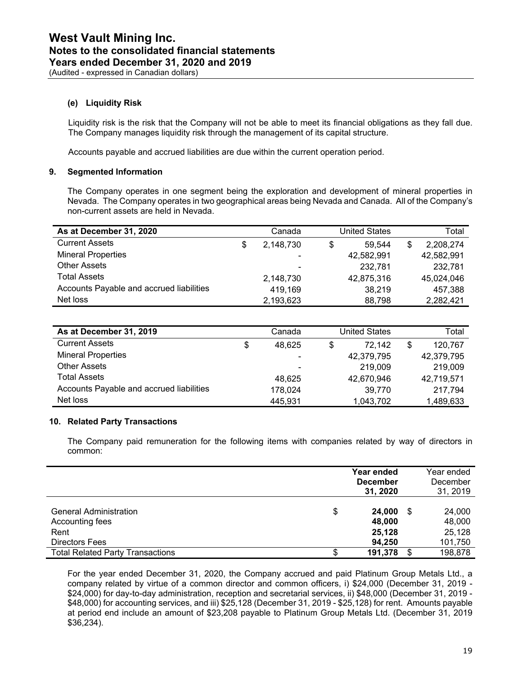(Audited - expressed in Canadian dollars)

#### **(e) Liquidity Risk**

Liquidity risk is the risk that the Company will not be able to meet its financial obligations as they fall due. The Company manages liquidity risk through the management of its capital structure.

Accounts payable and accrued liabilities are due within the current operation period.

#### **9. Segmented Information**

The Company operates in one segment being the exploration and development of mineral properties in Nevada. The Company operates in two geographical areas being Nevada and Canada. All of the Company's non-current assets are held in Nevada.

| As at December 31, 2020                  | Canada          | United States |            |   | Total      |
|------------------------------------------|-----------------|---------------|------------|---|------------|
| <b>Current Assets</b>                    | \$<br>2,148,730 | \$            | 59.544     | S | 2.208.274  |
| <b>Mineral Properties</b>                |                 |               | 42,582,991 |   | 42,582,991 |
| <b>Other Assets</b>                      |                 |               | 232.781    |   | 232.781    |
| <b>Total Assets</b>                      | 2,148,730       |               | 42,875,316 |   | 45,024,046 |
| Accounts Payable and accrued liabilities | 419,169         |               | 38,219     |   | 457,388    |
| Net loss                                 | 2,193,623       |               | 88,798     |   | 2,282,421  |

| As at December 31, 2019                  |   | Canada                   | United States | Total         |
|------------------------------------------|---|--------------------------|---------------|---------------|
| <b>Current Assets</b>                    | S | 48.625                   | \$<br>72,142  | \$<br>120,767 |
| <b>Mineral Properties</b>                |   | $\overline{\phantom{0}}$ | 42,379,795    | 42,379,795    |
| <b>Other Assets</b>                      |   | $\overline{\phantom{0}}$ | 219,009       | 219,009       |
| <b>Total Assets</b>                      |   | 48.625                   | 42,670,946    | 42,719,571    |
| Accounts Payable and accrued liabilities |   | 178,024                  | 39,770        | 217.794       |
| Net loss                                 |   | 445,931                  | 1,043,702     | 1,489,633     |

#### **10. Related Party Transactions**

The Company paid remuneration for the following items with companies related by way of directors in common:

|                                                  | Year ended<br><b>December</b><br>31, 2020 |      | Year ended<br>December<br>31, 2019 |
|--------------------------------------------------|-------------------------------------------|------|------------------------------------|
| <b>General Administration</b><br>Accounting fees | \$<br>24.000<br>48.000                    | - \$ | 24,000<br>48,000                   |
| Rent<br>Directors Fees                           | 25,128<br>94.250                          |      | 25,128<br>101,750                  |
| <b>Total Related Party Transactions</b>          | \$<br>191,378                             |      | 198,878                            |

For the year ended December 31, 2020, the Company accrued and paid Platinum Group Metals Ltd., a company related by virtue of a common director and common officers, i) \$24,000 (December 31, 2019 - \$24,000) for day-to-day administration, reception and secretarial services, ii) \$48,000 (December 31, 2019 -\$48,000) for accounting services, and iii) \$25,128 (December 31, 2019 - \$25,128) for rent. Amounts payable at period end include an amount of \$23,208 payable to Platinum Group Metals Ltd. (December 31, 2019 \$36,234).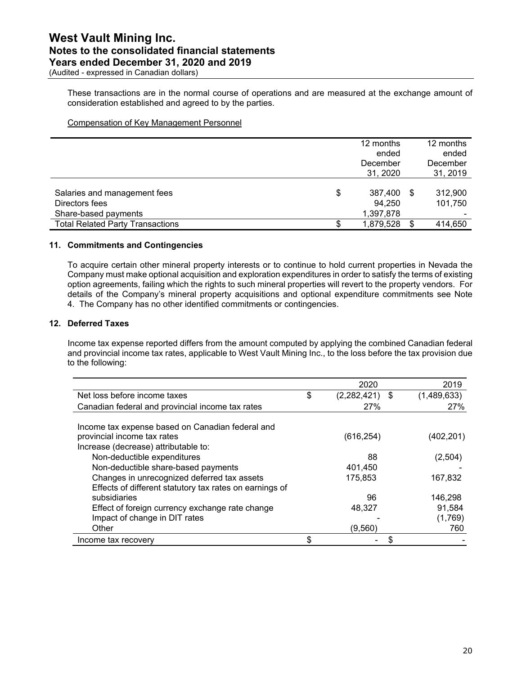(Audited - expressed in Canadian dollars)

These transactions are in the normal course of operations and are measured at the exchange amount of consideration established and agreed to by the parties.

Compensation of Key Management Personnel

| December<br>31, 2020    |                        | December<br>31, 2019 |
|-------------------------|------------------------|----------------------|
| \$<br>387.400<br>94.250 | - \$                   | 312,900<br>101.750   |
|                         |                        | 414,650              |
|                         | 1,397,878<br>1,879,528 | -S                   |

#### **11. Commitments and Contingencies**

To acquire certain other mineral property interests or to continue to hold current properties in Nevada the Company must make optional acquisition and exploration expenditures in order to satisfy the terms of existing option agreements, failing which the rights to such mineral properties will revert to the property vendors. For details of the Company's mineral property acquisitions and optional expenditure commitments see Note 4. The Company has no other identified commitments or contingencies.

#### **12. Deferred Taxes**

Income tax expense reported differs from the amount computed by applying the combined Canadian federal and provincial income tax rates, applicable to West Vault Mining Inc., to the loss before the tax provision due to the following:

|                                                                                                                         | 2020                   | 2019        |
|-------------------------------------------------------------------------------------------------------------------------|------------------------|-------------|
| Net loss before income taxes                                                                                            | \$<br>$(2,282,421)$ \$ | (1,489,633) |
| Canadian federal and provincial income tax rates                                                                        | <b>27%</b>             | 27%         |
|                                                                                                                         |                        |             |
| Income tax expense based on Canadian federal and<br>provincial income tax rates<br>Increase (decrease) attributable to: | (616, 254)             | (402,201)   |
| Non-deductible expenditures                                                                                             | 88                     | (2,504)     |
| Non-deductible share-based payments                                                                                     | 401,450                |             |
| Changes in unrecognized deferred tax assets                                                                             | 175.853                | 167,832     |
| Effects of different statutory tax rates on earnings of                                                                 |                        |             |
| subsidiaries                                                                                                            | 96                     | 146,298     |
| Effect of foreign currency exchange rate change                                                                         | 48,327                 | 91,584      |
| Impact of change in DIT rates                                                                                           |                        | (1,769)     |
| Other                                                                                                                   | (9, 560)               | 760         |
| Income tax recovery                                                                                                     | \$                     |             |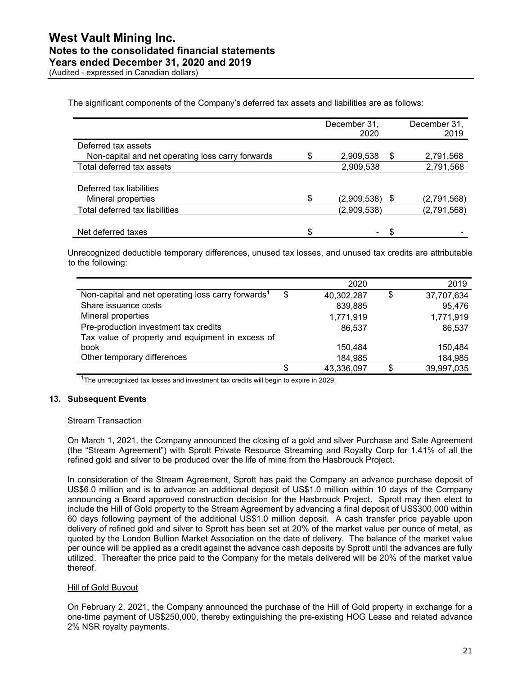The significant components of the Company's deferred tax assets and liabilities are as follows:

|                                                   | December 31,<br>2020 |    | December 31,<br>2019 |
|---------------------------------------------------|----------------------|----|----------------------|
| Deferred tax assets                               |                      |    |                      |
| Non-capital and net operating loss carry forwards | 2,909,538            | \$ | 2,791,568            |
| Total deferred tax assets                         | 2,909,538            |    | 2,791,568            |
|                                                   |                      |    |                      |
| Deferred tax liabilities                          |                      |    |                      |
| Mineral properties                                | \$<br>(2,909,538)    | -5 | (2,791,568)          |
| Total deferred tax liabilities                    | (2,909,538)          |    | (2,791,568)          |
|                                                   |                      |    |                      |
| Net deferred taxes                                | \$                   |    |                      |

Unrecognized deductible temporary differences, unused tax losses, and unused tax credits are attributable to the following:

|                                                                |    | 2020       |     | 2019       |
|----------------------------------------------------------------|----|------------|-----|------------|
| Non-capital and net operating loss carry forwards <sup>1</sup> | \$ | 40,302,287 | \$  | 37,707,634 |
| Share issuance costs                                           |    | 839,885    |     | 95,476     |
| Mineral properties                                             |    | 1,771,919  |     | 1,771,919  |
| Pre-production investment tax credits                          |    | 86,537     |     | 86,537     |
| Tax value of property and equipment in excess of               |    |            |     |            |
| book                                                           |    | 150,484    |     | 150,484    |
| Other temporary differences                                    |    | 184,985    |     | 184,985    |
|                                                                | S  | 43,336,097 | \$. | 39,997,035 |

<sup>1</sup>The unrecognized tax losses and investment tax credits will begin to expire in 2029.

#### **13. Subsequent Events**

#### Stream Transaction

On March 1, 2021, the Company announced the closing of a gold and silver Purchase and Sale Agreement (the "Stream Agreement") with Sprott Private Resource Streaming and Royalty Corp for 1.41% of all the refined gold and silver to be produced over the life of mine from the Hasbrouck Project.

In consideration of the Stream Agreement, Sprott has paid the Company an advance purchase deposit of US\$6.0 million and is to advance an additional deposit of US\$1.0 million within 10 days of the Company announcing a Board approved construction decision for the Hasbrouck Project. Sprott may then elect to include the Hill of Gold property to the Stream Agreement by advancing a final deposit of US\$300,000 within 60 days following payment of the additional US\$1.0 million deposit. A cash transfer price payable upon delivery of refined gold and silver to Sprott has been set at 20% of the market value per ounce of metal, as quoted by the London Bullion Market Association on the date of delivery. The balance of the market value per ounce will be applied as a credit against the advance cash deposits by Sprott until the advances are fully utilized. Thereafter the price paid to the Company for the metals delivered will be 20% of the market value thereof.

#### Hill of Gold Buyout

On February 2, 2021, the Company announced the purchase of the Hill of Gold property in exchange for a one-time payment of US\$250,000, thereby extinguishing the pre-existing HOG Lease and related advance 2% NSR royalty payments.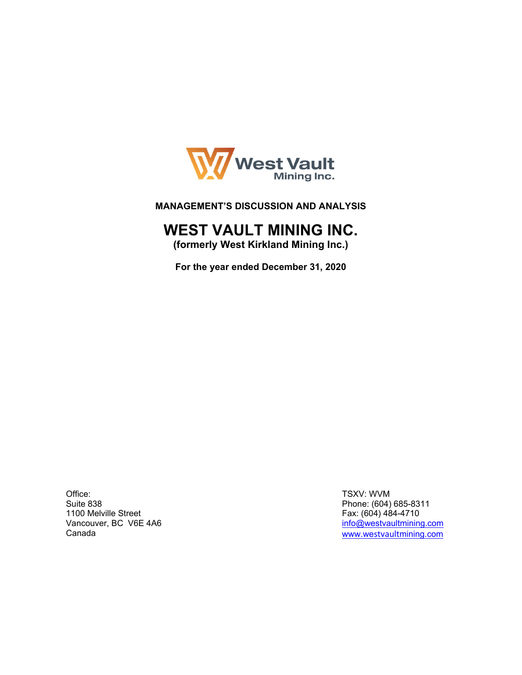

#### **MANAGEMENT'S DISCUSSION AND ANALYSIS**

## **WEST VAULT MINING INC.**

**(formerly West Kirkland Mining Inc.)** 

**For the year ended December 31, 2020** 

Office: Suite 838 1100 Melville Street Vancouver, BC V6E 4A6 Canada

TSXV: WVM Phone: (604) 685-8311 Fax: (604) 484-4710 info@westvaultmining.com www.westvaultmining.com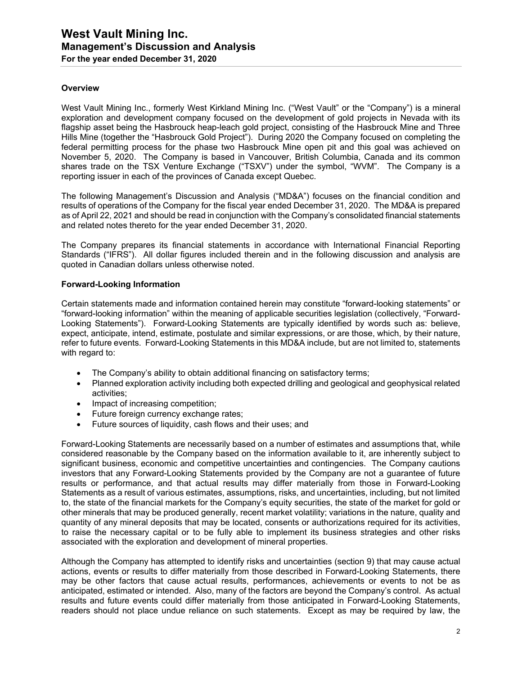#### **Overview**

West Vault Mining Inc., formerly West Kirkland Mining Inc. ("West Vault" or the "Company") is a mineral exploration and development company focused on the development of gold projects in Nevada with its flagship asset being the Hasbrouck heap-leach gold project, consisting of the Hasbrouck Mine and Three Hills Mine (together the "Hasbrouck Gold Project"). During 2020 the Company focused on completing the federal permitting process for the phase two Hasbrouck Mine open pit and this goal was achieved on November 5, 2020. The Company is based in Vancouver, British Columbia, Canada and its common shares trade on the TSX Venture Exchange ("TSXV") under the symbol, "WVM". The Company is a reporting issuer in each of the provinces of Canada except Quebec.

The following Management's Discussion and Analysis ("MD&A") focuses on the financial condition and results of operations of the Company for the fiscal year ended December 31, 2020. The MD&A is prepared as of April 22, 2021 and should be read in conjunction with the Company's consolidated financial statements and related notes thereto for the year ended December 31, 2020.

The Company prepares its financial statements in accordance with International Financial Reporting Standards ("IFRS"). All dollar figures included therein and in the following discussion and analysis are quoted in Canadian dollars unless otherwise noted.

#### **Forward-Looking Information**

Certain statements made and information contained herein may constitute "forward-looking statements" or "forward-looking information" within the meaning of applicable securities legislation (collectively, "Forward-Looking Statements"). Forward-Looking Statements are typically identified by words such as: believe, expect, anticipate, intend, estimate, postulate and similar expressions, or are those, which, by their nature, refer to future events. Forward-Looking Statements in this MD&A include, but are not limited to, statements with regard to:

- The Company's ability to obtain additional financing on satisfactory terms;
- Planned exploration activity including both expected drilling and geological and geophysical related activities;
- Impact of increasing competition;
- Future foreign currency exchange rates:
- Future sources of liquidity, cash flows and their uses; and

Forward-Looking Statements are necessarily based on a number of estimates and assumptions that, while considered reasonable by the Company based on the information available to it, are inherently subject to significant business, economic and competitive uncertainties and contingencies. The Company cautions investors that any Forward-Looking Statements provided by the Company are not a guarantee of future results or performance, and that actual results may differ materially from those in Forward-Looking Statements as a result of various estimates, assumptions, risks, and uncertainties, including, but not limited to, the state of the financial markets for the Company's equity securities, the state of the market for gold or other minerals that may be produced generally, recent market volatility; variations in the nature, quality and quantity of any mineral deposits that may be located, consents or authorizations required for its activities, to raise the necessary capital or to be fully able to implement its business strategies and other risks associated with the exploration and development of mineral properties.

Although the Company has attempted to identify risks and uncertainties (section 9) that may cause actual actions, events or results to differ materially from those described in Forward-Looking Statements, there may be other factors that cause actual results, performances, achievements or events to not be as anticipated, estimated or intended. Also, many of the factors are beyond the Company's control. As actual results and future events could differ materially from those anticipated in Forward-Looking Statements, readers should not place undue reliance on such statements. Except as may be required by law, the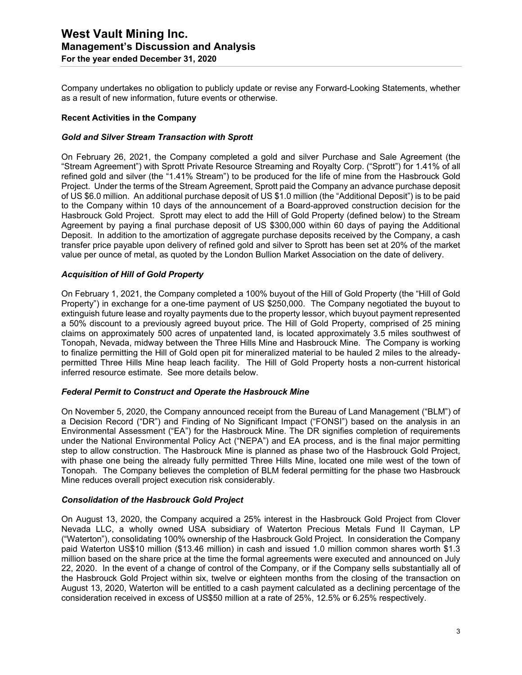Company undertakes no obligation to publicly update or revise any Forward-Looking Statements, whether as a result of new information, future events or otherwise.

#### **Recent Activities in the Company**

#### *Gold and Silver Stream Transaction with Sprott*

On February 26, 2021, the Company completed a gold and silver Purchase and Sale Agreement (the "Stream Agreement") with Sprott Private Resource Streaming and Royalty Corp. ("Sprott") for 1.41% of all refined gold and silver (the "1.41% Stream") to be produced for the life of mine from the Hasbrouck Gold Project. Under the terms of the Stream Agreement, Sprott paid the Company an advance purchase deposit of US \$6.0 million. An additional purchase deposit of US \$1.0 million (the "Additional Deposit") is to be paid to the Company within 10 days of the announcement of a Board-approved construction decision for the Hasbrouck Gold Project. Sprott may elect to add the Hill of Gold Property (defined below) to the Stream Agreement by paying a final purchase deposit of US \$300,000 within 60 days of paying the Additional Deposit. In addition to the amortization of aggregate purchase deposits received by the Company, a cash transfer price payable upon delivery of refined gold and silver to Sprott has been set at 20% of the market value per ounce of metal, as quoted by the London Bullion Market Association on the date of delivery.

#### *Acquisition of Hill of Gold Property*

On February 1, 2021, the Company completed a 100% buyout of the Hill of Gold Property (the "Hill of Gold Property") in exchange for a one-time payment of US \$250,000. The Company negotiated the buyout to extinguish future lease and royalty payments due to the property lessor, which buyout payment represented a 50% discount to a previously agreed buyout price. The Hill of Gold Property, comprised of 25 mining claims on approximately 500 acres of unpatented land, is located approximately 3.5 miles southwest of Tonopah, Nevada, midway between the Three Hills Mine and Hasbrouck Mine. The Company is working to finalize permitting the Hill of Gold open pit for mineralized material to be hauled 2 miles to the alreadypermitted Three Hills Mine heap leach facility. The Hill of Gold Property hosts a non-current historical inferred resource estimate. See more details below.

#### *Federal Permit to Construct and Operate the Hasbrouck Mine*

On November 5, 2020, the Company announced receipt from the Bureau of Land Management ("BLM") of a Decision Record ("DR") and Finding of No Significant Impact ("FONSI") based on the analysis in an Environmental Assessment ("EA") for the Hasbrouck Mine. The DR signifies completion of requirements under the National Environmental Policy Act ("NEPA") and EA process, and is the final major permitting step to allow construction. The Hasbrouck Mine is planned as phase two of the Hasbrouck Gold Project, with phase one being the already fully permitted Three Hills Mine, located one mile west of the town of Tonopah. The Company believes the completion of BLM federal permitting for the phase two Hasbrouck Mine reduces overall project execution risk considerably.

#### *Consolidation of the Hasbrouck Gold Project*

On August 13, 2020, the Company acquired a 25% interest in the Hasbrouck Gold Project from Clover Nevada LLC, a wholly owned USA subsidiary of Waterton Precious Metals Fund II Cayman, LP ("Waterton"), consolidating 100% ownership of the Hasbrouck Gold Project. In consideration the Company paid Waterton US\$10 million (\$13.46 million) in cash and issued 1.0 million common shares worth \$1.3 million based on the share price at the time the formal agreements were executed and announced on July 22, 2020. In the event of a change of control of the Company, or if the Company sells substantially all of the Hasbrouck Gold Project within six, twelve or eighteen months from the closing of the transaction on August 13, 2020, Waterton will be entitled to a cash payment calculated as a declining percentage of the consideration received in excess of US\$50 million at a rate of 25%, 12.5% or 6.25% respectively.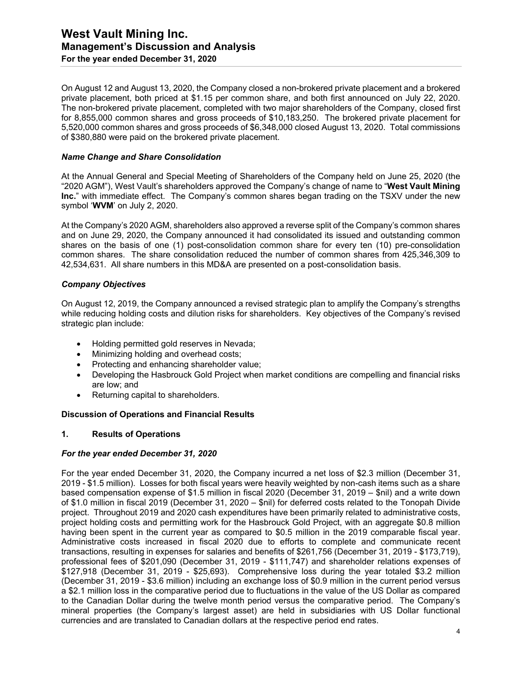#### **West Vault Mining Inc. Management's Discussion and Analysis For the year ended December 31, 2020**

On August 12 and August 13, 2020, the Company closed a non-brokered private placement and a brokered private placement, both priced at \$1.15 per common share, and both first announced on July 22, 2020. The non-brokered private placement, completed with two major shareholders of the Company, closed first for 8,855,000 common shares and gross proceeds of \$10,183,250. The brokered private placement for 5,520,000 common shares and gross proceeds of \$6,348,000 closed August 13, 2020. Total commissions of \$380,880 were paid on the brokered private placement.

#### *Name Change and Share Consolidation*

At the Annual General and Special Meeting of Shareholders of the Company held on June 25, 2020 (the "2020 AGM"), West Vault's shareholders approved the Company's change of name to "**West Vault Mining Inc.**" with immediate effect. The Company's common shares began trading on the TSXV under the new symbol '**WVM**' on July 2, 2020.

At the Company's 2020 AGM, shareholders also approved a reverse split of the Company's common shares and on June 29, 2020, the Company announced it had consolidated its issued and outstanding common shares on the basis of one (1) post-consolidation common share for every ten (10) pre-consolidation common shares. The share consolidation reduced the number of common shares from 425,346,309 to 42,534,631. All share numbers in this MD&A are presented on a post-consolidation basis.

#### *Company Objectives*

On August 12, 2019, the Company announced a revised strategic plan to amplify the Company's strengths while reducing holding costs and dilution risks for shareholders. Key objectives of the Company's revised strategic plan include:

- Holding permitted gold reserves in Nevada;
- Minimizing holding and overhead costs;
- Protecting and enhancing shareholder value;
- Developing the Hasbrouck Gold Project when market conditions are compelling and financial risks are low; and
- Returning capital to shareholders.

#### **Discussion of Operations and Financial Results**

#### **1. Results of Operations**

#### *For the year ended December 31, 2020*

For the year ended December 31, 2020, the Company incurred a net loss of \$2.3 million (December 31, 2019 - \$1.5 million). Losses for both fiscal years were heavily weighted by non-cash items such as a share based compensation expense of \$1.5 million in fiscal 2020 (December 31, 2019 – \$nil) and a write down of \$1.0 million in fiscal 2019 (December 31, 2020 – \$nil) for deferred costs related to the Tonopah Divide project. Throughout 2019 and 2020 cash expenditures have been primarily related to administrative costs, project holding costs and permitting work for the Hasbrouck Gold Project, with an aggregate \$0.8 million having been spent in the current year as compared to \$0.5 million in the 2019 comparable fiscal year. Administrative costs increased in fiscal 2020 due to efforts to complete and communicate recent transactions, resulting in expenses for salaries and benefits of \$261,756 (December 31, 2019 - \$173,719), professional fees of \$201,090 (December 31, 2019 - \$111,747) and shareholder relations expenses of \$127,918 (December 31, 2019 - \$25,693). Comprehensive loss during the year totaled \$3.2 million (December 31, 2019 - \$3.6 million) including an exchange loss of \$0.9 million in the current period versus a \$2.1 million loss in the comparative period due to fluctuations in the value of the US Dollar as compared to the Canadian Dollar during the twelve month period versus the comparative period. The Company's mineral properties (the Company's largest asset) are held in subsidiaries with US Dollar functional currencies and are translated to Canadian dollars at the respective period end rates.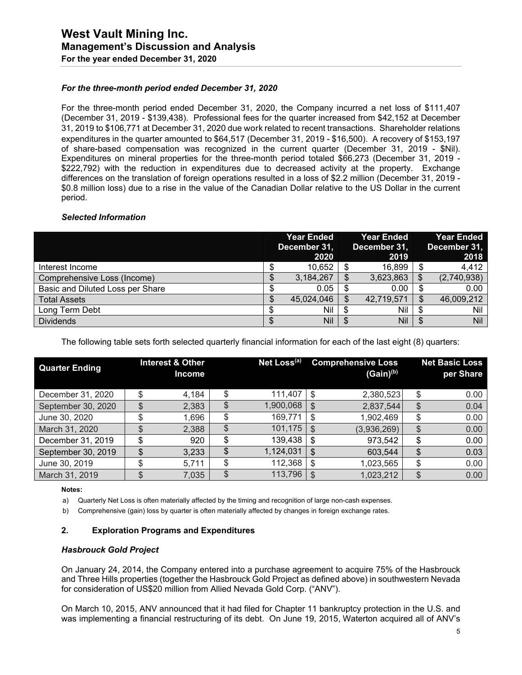#### *For the three-month period ended December 31, 2020*

For the three-month period ended December 31, 2020, the Company incurred a net loss of \$111,407 (December 31, 2019 - \$139,438). Professional fees for the quarter increased from \$42,152 at December 31, 2019 to \$106,771 at December 31, 2020 due work related to recent transactions. Shareholder relations expenditures in the quarter amounted to \$64,517 (December 31, 2019 - \$16,500). A recovery of \$153,197 of share-based compensation was recognized in the current quarter (December 31, 2019 - \$Nil). Expenditures on mineral properties for the three-month period totaled \$66,273 (December 31, 2019 - \$222,792) with the reduction in expenditures due to decreased activity at the property. Exchange differences on the translation of foreign operations resulted in a loss of \$2.2 million (December 31, 2019 - \$0.8 million loss) due to a rise in the value of the Canadian Dollar relative to the US Dollar in the current period.

#### *Selected Information*

|                                  | <b>Year Ended</b><br>December 31,<br>2020 |   | <b>Year Ended</b><br>December 31,<br>2019 |    | Year Ended<br>December 31,<br>2018 |
|----------------------------------|-------------------------------------------|---|-------------------------------------------|----|------------------------------------|
| Interest Income                  | 10,652                                    |   | 16,899                                    | \$ | 4,412                              |
| Comprehensive Loss (Income)      | 3,184,267                                 | S | 3,623,863                                 | S  | (2,740,938)                        |
| Basic and Diluted Loss per Share | 0.05                                      |   | 0.00                                      | \$ | 0.00                               |
| <b>Total Assets</b>              | 45,024,046                                |   | 42,719,571                                | S  | 46,009,212                         |
| Long Term Debt                   | Nil                                       | S | Nil                                       |    | Nil                                |
| <b>Dividends</b>                 | Nil                                       |   | Nil                                       | \$ | Nil                                |

The following table sets forth selected quarterly financial information for each of the last eight (8) quarters:

| <b>Quarter Ending</b> |    | <b>Interest &amp; Other</b><br><b>Income</b> | Net Loss <sup>(a)</sup> |    | <b>Comprehensive Loss</b><br>$(Gain)^{(b)}$ | <b>Net Basic Loss</b><br>per Share |
|-----------------------|----|----------------------------------------------|-------------------------|----|---------------------------------------------|------------------------------------|
| December 31, 2020     | ¢  | 4,184                                        | 111,407                 | S  | 2,380,523                                   | \$<br>0.00                         |
| September 30, 2020    | \$ | 2,383                                        | \$<br>1,900,068         | S  | 2,837,544                                   | \$<br>0.04                         |
| June 30, 2020         | ¢  | 1,696                                        | \$<br>169,771           | \$ | 1,902,469                                   | \$<br>0.00                         |
| March 31, 2020        | œ  | 2,388                                        | \$<br>101,175           | \$ | (3,936,269)                                 | \$<br>0.00                         |
| December 31, 2019     | \$ | 920                                          | \$<br>139,438           | \$ | 973,542                                     | \$<br>0.00                         |
| September 30, 2019    | \$ | 3,233                                        | \$<br>1,124,031         | \$ | 603,544                                     | \$<br>0.03                         |
| June 30, 2019         | \$ | 5,711                                        | \$<br>112,368           | \$ | 1,023,565                                   | \$<br>0.00                         |
| March 31, 2019        | \$ | 7,035                                        | \$<br>113,796           | \$ | 1,023,212                                   | \$<br>0.00                         |

**Notes:** 

a) Quarterly Net Loss is often materially affected by the timing and recognition of large non-cash expenses.

b) Comprehensive (gain) loss by quarter is often materially affected by changes in foreign exchange rates.

#### **2. Exploration Programs and Expenditures**

#### *Hasbrouck Gold Project*

On January 24, 2014, the Company entered into a purchase agreement to acquire 75% of the Hasbrouck and Three Hills properties (together the Hasbrouck Gold Project as defined above) in southwestern Nevada for consideration of US\$20 million from Allied Nevada Gold Corp. ("ANV").

On March 10, 2015, ANV announced that it had filed for Chapter 11 bankruptcy protection in the U.S. and was implementing a financial restructuring of its debt. On June 19, 2015, Waterton acquired all of ANV's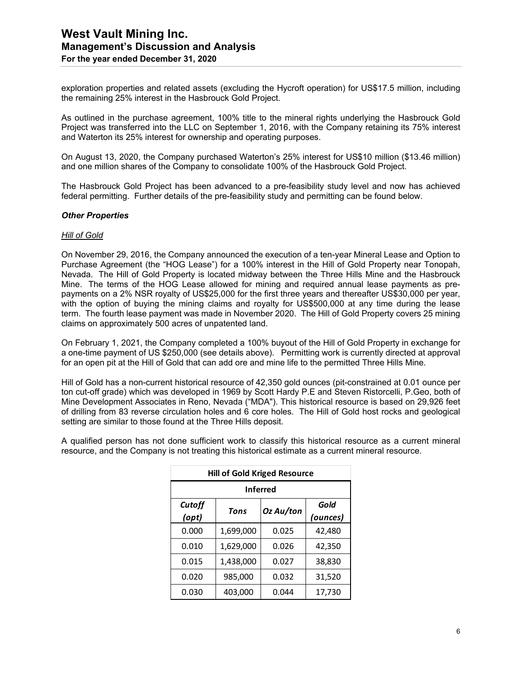exploration properties and related assets (excluding the Hycroft operation) for US\$17.5 million, including the remaining 25% interest in the Hasbrouck Gold Project.

As outlined in the purchase agreement, 100% title to the mineral rights underlying the Hasbrouck Gold Project was transferred into the LLC on September 1, 2016, with the Company retaining its 75% interest and Waterton its 25% interest for ownership and operating purposes.

On August 13, 2020, the Company purchased Waterton's 25% interest for US\$10 million (\$13.46 million) and one million shares of the Company to consolidate 100% of the Hasbrouck Gold Project.

The Hasbrouck Gold Project has been advanced to a pre-feasibility study level and now has achieved federal permitting. Further details of the pre-feasibility study and permitting can be found below.

#### *Other Properties*

#### *Hill of Gold*

On November 29, 2016, the Company announced the execution of a ten-year Mineral Lease and Option to Purchase Agreement (the "HOG Lease") for a 100% interest in the Hill of Gold Property near Tonopah, Nevada. The Hill of Gold Property is located midway between the Three Hills Mine and the Hasbrouck Mine. The terms of the HOG Lease allowed for mining and required annual lease payments as prepayments on a 2% NSR royalty of US\$25,000 for the first three years and thereafter US\$30,000 per year, with the option of buying the mining claims and royalty for US\$500,000 at any time during the lease term. The fourth lease payment was made in November 2020. The Hill of Gold Property covers 25 mining claims on approximately 500 acres of unpatented land.

On February 1, 2021, the Company completed a 100% buyout of the Hill of Gold Property in exchange for a one-time payment of US \$250,000 (see details above). Permitting work is currently directed at approval for an open pit at the Hill of Gold that can add ore and mine life to the permitted Three Hills Mine.

Hill of Gold has a non-current historical resource of 42,350 gold ounces (pit-constrained at 0.01 ounce per ton cut-off grade) which was developed in 1969 by Scott Hardy P.E and Steven Ristorcelli, P.Geo, both of Mine Development Associates in Reno, Nevada ("MDA"). This historical resource is based on 29,926 feet of drilling from 83 reverse circulation holes and 6 core holes. The Hill of Gold host rocks and geological setting are similar to those found at the Three Hills deposit.

A qualified person has not done sufficient work to classify this historical resource as a current mineral resource, and the Company is not treating this historical estimate as a current mineral resource.

| <b>Hill of Gold Kriged Resource</b> |           |           |          |  |  |  |  |
|-------------------------------------|-----------|-----------|----------|--|--|--|--|
| <b>Inferred</b>                     |           |           |          |  |  |  |  |
| Cutoff                              | Gold      |           |          |  |  |  |  |
| (opt)                               |           | Oz Au/ton | (ounces) |  |  |  |  |
| 0.000                               | 1,699,000 | 0.025     | 42,480   |  |  |  |  |
| 0.010                               | 1,629,000 | 0.026     | 42,350   |  |  |  |  |
| 0.015                               | 1,438,000 | 0.027     | 38,830   |  |  |  |  |
| 0.020                               | 985,000   | 0.032     | 31,520   |  |  |  |  |
| 0.030                               | 403,000   | 0.044     | 17,730   |  |  |  |  |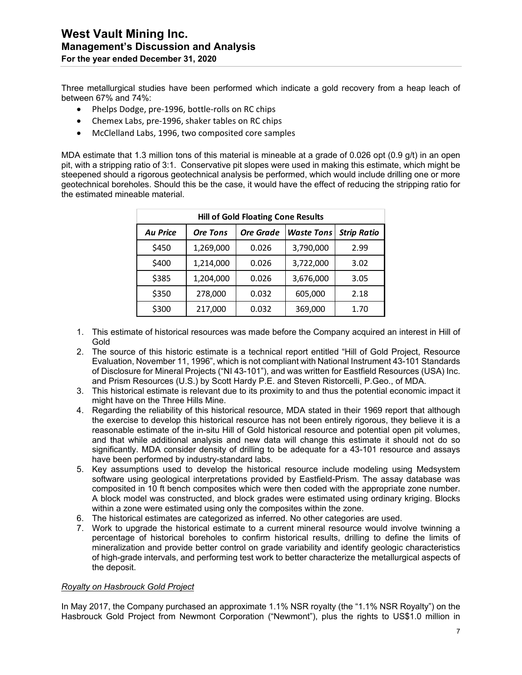Three metallurgical studies have been performed which indicate a gold recovery from a heap leach of between 67% and 74%:

- Phelps Dodge, pre-1996, bottle-rolls on RC chips
- Chemex Labs, pre-1996, shaker tables on RC chips
- McClelland Labs, 1996, two composited core samples

MDA estimate that 1.3 million tons of this material is mineable at a grade of 0.026 opt (0.9 g/t) in an open pit, with a stripping ratio of 3:1. Conservative pit slopes were used in making this estimate, which might be steepened should a rigorous geotechnical analysis be performed, which would include drilling one or more geotechnical boreholes. Should this be the case, it would have the effect of reducing the stripping ratio for the estimated mineable material.

| <b>Hill of Gold Floating Cone Results</b> |                 |                                       |           |                    |  |  |  |  |
|-------------------------------------------|-----------------|---------------------------------------|-----------|--------------------|--|--|--|--|
| <b>Au Price</b>                           | <b>Ore Tons</b> | <b>Ore Grade</b><br><b>Waste Tons</b> |           | <b>Strip Ratio</b> |  |  |  |  |
| \$450                                     | 1,269,000       | 0.026                                 | 3,790,000 | 2.99               |  |  |  |  |
| \$400                                     | 1,214,000       | 0.026                                 | 3,722,000 | 3.02               |  |  |  |  |
| \$385                                     | 1,204,000       | 0.026                                 | 3,676,000 | 3.05               |  |  |  |  |
| \$350                                     | 278,000         | 0.032                                 | 605,000   | 2.18               |  |  |  |  |
| \$300                                     | 217,000         | 0.032                                 | 369,000   | 1.70               |  |  |  |  |

- 1. This estimate of historical resources was made before the Company acquired an interest in Hill of Gold
- 2. The source of this historic estimate is a technical report entitled "Hill of Gold Project, Resource Evaluation, November 11, 1996", which is not compliant with National Instrument 43-101 Standards of Disclosure for Mineral Projects ("NI 43-101"), and was written for Eastfield Resources (USA) Inc. and Prism Resources (U.S.) by Scott Hardy P.E. and Steven Ristorcelli, P.Geo., of MDA.
- 3. This historical estimate is relevant due to its proximity to and thus the potential economic impact it might have on the Three Hills Mine.
- 4. Regarding the reliability of this historical resource, MDA stated in their 1969 report that although the exercise to develop this historical resource has not been entirely rigorous, they believe it is a reasonable estimate of the in-situ Hill of Gold historical resource and potential open pit volumes, and that while additional analysis and new data will change this estimate it should not do so significantly. MDA consider density of drilling to be adequate for a 43-101 resource and assays have been performed by industry-standard labs.
- 5. Key assumptions used to develop the historical resource include modeling using Medsystem software using geological interpretations provided by Eastfield-Prism. The assay database was composited in 10 ft bench composites which were then coded with the appropriate zone number. A block model was constructed, and block grades were estimated using ordinary kriging. Blocks within a zone were estimated using only the composites within the zone.
- 6. The historical estimates are categorized as inferred. No other categories are used.
- 7. Work to upgrade the historical estimate to a current mineral resource would involve twinning a percentage of historical boreholes to confirm historical results, drilling to define the limits of mineralization and provide better control on grade variability and identify geologic characteristics of high-grade intervals, and performing test work to better characterize the metallurgical aspects of the deposit.

#### *Royalty on Hasbrouck Gold Project*

In May 2017, the Company purchased an approximate 1.1% NSR royalty (the "1.1% NSR Royalty") on the Hasbrouck Gold Project from Newmont Corporation ("Newmont"), plus the rights to US\$1.0 million in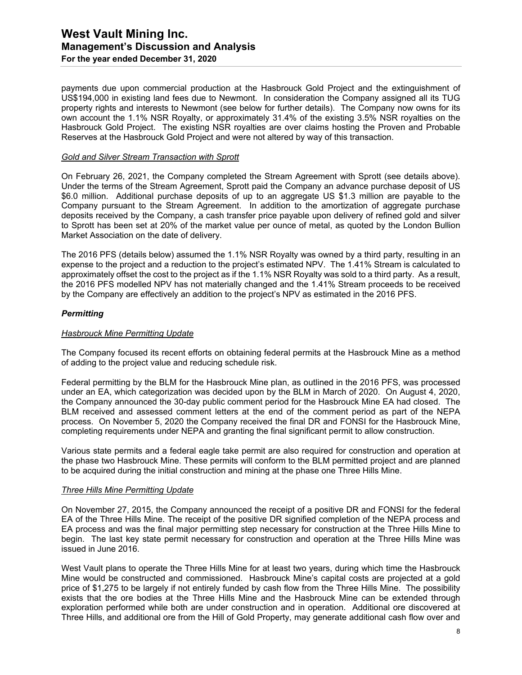#### **West Vault Mining Inc. Management's Discussion and Analysis For the year ended December 31, 2020**

payments due upon commercial production at the Hasbrouck Gold Project and the extinguishment of US\$194,000 in existing land fees due to Newmont. In consideration the Company assigned all its TUG property rights and interests to Newmont (see below for further details). The Company now owns for its own account the 1.1% NSR Royalty, or approximately 31.4% of the existing 3.5% NSR royalties on the Hasbrouck Gold Project. The existing NSR royalties are over claims hosting the Proven and Probable Reserves at the Hasbrouck Gold Project and were not altered by way of this transaction.

#### *Gold and Silver Stream Transaction with Sprott*

On February 26, 2021, the Company completed the Stream Agreement with Sprott (see details above). Under the terms of the Stream Agreement, Sprott paid the Company an advance purchase deposit of US \$6.0 million. Additional purchase deposits of up to an aggregate US \$1.3 million are payable to the Company pursuant to the Stream Agreement. In addition to the amortization of aggregate purchase deposits received by the Company, a cash transfer price payable upon delivery of refined gold and silver to Sprott has been set at 20% of the market value per ounce of metal, as quoted by the London Bullion Market Association on the date of delivery.

The 2016 PFS (details below) assumed the 1.1% NSR Royalty was owned by a third party, resulting in an expense to the project and a reduction to the project's estimated NPV. The 1.41% Stream is calculated to approximately offset the cost to the project as if the 1.1% NSR Royalty was sold to a third party. As a result, the 2016 PFS modelled NPV has not materially changed and the 1.41% Stream proceeds to be received by the Company are effectively an addition to the project's NPV as estimated in the 2016 PFS.

#### *Permitting*

#### *Hasbrouck Mine Permitting Update*

The Company focused its recent efforts on obtaining federal permits at the Hasbrouck Mine as a method of adding to the project value and reducing schedule risk.

Federal permitting by the BLM for the Hasbrouck Mine plan, as outlined in the 2016 PFS, was processed under an EA, which categorization was decided upon by the BLM in March of 2020. On August 4, 2020, the Company announced the 30-day public comment period for the Hasbrouck Mine EA had closed. The BLM received and assessed comment letters at the end of the comment period as part of the NEPA process. On November 5, 2020 the Company received the final DR and FONSI for the Hasbrouck Mine, completing requirements under NEPA and granting the final significant permit to allow construction.

Various state permits and a federal eagle take permit are also required for construction and operation at the phase two Hasbrouck Mine. These permits will conform to the BLM permitted project and are planned to be acquired during the initial construction and mining at the phase one Three Hills Mine.

#### *Three Hills Mine Permitting Update*

On November 27, 2015, the Company announced the receipt of a positive DR and FONSI for the federal EA of the Three Hills Mine. The receipt of the positive DR signified completion of the NEPA process and EA process and was the final major permitting step necessary for construction at the Three Hills Mine to begin. The last key state permit necessary for construction and operation at the Three Hills Mine was issued in June 2016.

West Vault plans to operate the Three Hills Mine for at least two years, during which time the Hasbrouck Mine would be constructed and commissioned. Hasbrouck Mine's capital costs are projected at a gold price of \$1,275 to be largely if not entirely funded by cash flow from the Three Hills Mine. The possibility exists that the ore bodies at the Three Hills Mine and the Hasbrouck Mine can be extended through exploration performed while both are under construction and in operation. Additional ore discovered at Three Hills, and additional ore from the Hill of Gold Property, may generate additional cash flow over and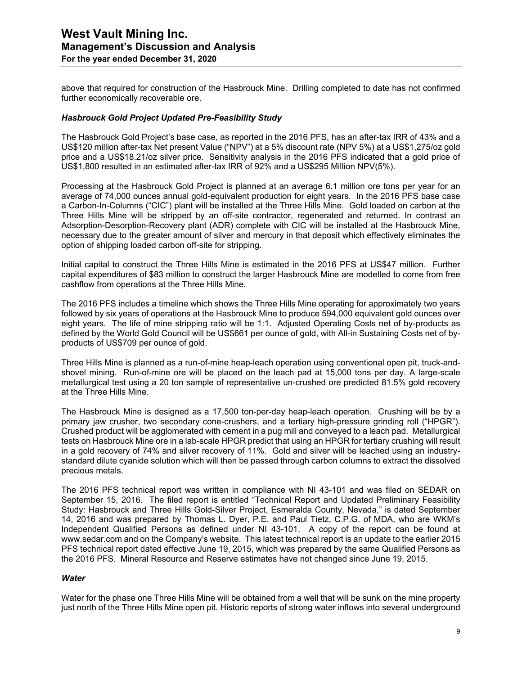above that required for construction of the Hasbrouck Mine. Drilling completed to date has not confirmed further economically recoverable ore.

#### *Hasbrouck Gold Project Updated Pre-Feasibility Study*

The Hasbrouck Gold Project's base case, as reported in the 2016 PFS, has an after-tax IRR of 43% and a US\$120 million after-tax Net present Value ("NPV") at a 5% discount rate (NPV 5%) at a US\$1,275/oz gold price and a US\$18.21/oz silver price. Sensitivity analysis in the 2016 PFS indicated that a gold price of US\$1,800 resulted in an estimated after-tax IRR of 92% and a US\$295 Million NPV(5%).

Processing at the Hasbrouck Gold Project is planned at an average 6.1 million ore tons per year for an average of 74,000 ounces annual gold-equivalent production for eight years. In the 2016 PFS base case a Carbon-In-Columns ("CIC") plant will be installed at the Three Hills Mine. Gold loaded on carbon at the Three Hills Mine will be stripped by an off-site contractor, regenerated and returned. In contrast an Adsorption-Desorption-Recovery plant (ADR) complete with CIC will be installed at the Hasbrouck Mine, necessary due to the greater amount of silver and mercury in that deposit which effectively eliminates the option of shipping loaded carbon off-site for stripping.

Initial capital to construct the Three Hills Mine is estimated in the 2016 PFS at US\$47 million. Further capital expenditures of \$83 million to construct the larger Hasbrouck Mine are modelled to come from free cashflow from operations at the Three Hills Mine.

The 2016 PFS includes a timeline which shows the Three Hills Mine operating for approximately two years followed by six years of operations at the Hasbrouck Mine to produce 594,000 equivalent gold ounces over eight years. The life of mine stripping ratio will be 1:1. Adjusted Operating Costs net of by-products as defined by the World Gold Council will be US\$661 per ounce of gold, with All-in Sustaining Costs net of byproducts of US\$709 per ounce of gold.

Three Hills Mine is planned as a run-of-mine heap-leach operation using conventional open pit, truck-andshovel mining. Run-of-mine ore will be placed on the leach pad at 15,000 tons per day. A large-scale metallurgical test using a 20 ton sample of representative un-crushed ore predicted 81.5% gold recovery at the Three Hills Mine.

The Hasbrouck Mine is designed as a 17,500 ton-per-day heap-leach operation. Crushing will be by a primary jaw crusher, two secondary cone-crushers, and a tertiary high-pressure grinding roll ("HPGR"). Crushed product will be agglomerated with cement in a pug mill and conveyed to a leach pad. Metallurgical tests on Hasbrouck Mine ore in a lab-scale HPGR predict that using an HPGR for tertiary crushing will result in a gold recovery of 74% and silver recovery of 11%. Gold and silver will be leached using an industrystandard dilute cyanide solution which will then be passed through carbon columns to extract the dissolved precious metals.

The 2016 PFS technical report was written in compliance with NI 43-101 and was filed on SEDAR on September 15, 2016. The filed report is entitled "Technical Report and Updated Preliminary Feasibility Study: Hasbrouck and Three Hills Gold-Silver Project, Esmeralda County, Nevada," is dated September 14, 2016 and was prepared by Thomas L. Dyer, P.E. and Paul Tietz, C.P.G. of MDA, who are WKM's Independent Qualified Persons as defined under NI 43-101. A copy of the report can be found at www.sedar.com and on the Company's website. This latest technical report is an update to the earlier 2015 PFS technical report dated effective June 19, 2015, which was prepared by the same Qualified Persons as the 2016 PFS. Mineral Resource and Reserve estimates have not changed since June 19, 2015.

#### *Water*

Water for the phase one Three Hills Mine will be obtained from a well that will be sunk on the mine property just north of the Three Hills Mine open pit. Historic reports of strong water inflows into several underground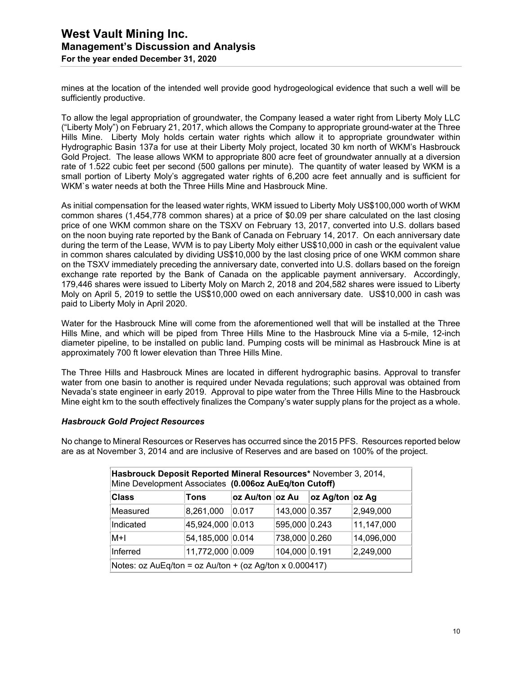mines at the location of the intended well provide good hydrogeological evidence that such a well will be sufficiently productive.

To allow the legal appropriation of groundwater, the Company leased a water right from Liberty Moly LLC ("Liberty Moly") on February 21, 2017, which allows the Company to appropriate ground-water at the Three Hills Mine. Liberty Moly holds certain water rights which allow it to appropriate groundwater within Hydrographic Basin 137a for use at their Liberty Moly project, located 30 km north of WKM's Hasbrouck Gold Project. The lease allows WKM to appropriate 800 acre feet of groundwater annually at a diversion rate of 1.522 cubic feet per second (500 gallons per minute). The quantity of water leased by WKM is a small portion of Liberty Moly's aggregated water rights of 6,200 acre feet annually and is sufficient for WKM`s water needs at both the Three Hills Mine and Hasbrouck Mine.

As initial compensation for the leased water rights, WKM issued to Liberty Moly US\$100,000 worth of WKM common shares (1,454,778 common shares) at a price of \$0.09 per share calculated on the last closing price of one WKM common share on the TSXV on February 13, 2017, converted into U.S. dollars based on the noon buying rate reported by the Bank of Canada on February 14, 2017. On each anniversary date during the term of the Lease, WVM is to pay Liberty Moly either US\$10,000 in cash or the equivalent value in common shares calculated by dividing US\$10,000 by the last closing price of one WKM common share on the TSXV immediately preceding the anniversary date, converted into U.S. dollars based on the foreign exchange rate reported by the Bank of Canada on the applicable payment anniversary. Accordingly, 179,446 shares were issued to Liberty Moly on March 2, 2018 and 204,582 shares were issued to Liberty Moly on April 5, 2019 to settle the US\$10,000 owed on each anniversary date. US\$10,000 in cash was paid to Liberty Moly in April 2020.

Water for the Hasbrouck Mine will come from the aforementioned well that will be installed at the Three Hills Mine, and which will be piped from Three Hills Mine to the Hasbrouck Mine via a 5-mile, 12-inch diameter pipeline, to be installed on public land. Pumping costs will be minimal as Hasbrouck Mine is at approximately 700 ft lower elevation than Three Hills Mine.

The Three Hills and Hasbrouck Mines are located in different hydrographic basins. Approval to transfer water from one basin to another is required under Nevada regulations; such approval was obtained from Nevada's state engineer in early 2019. Approval to pipe water from the Three Hills Mine to the Hasbrouck Mine eight km to the south effectively finalizes the Company's water supply plans for the project as a whole.

#### *Hasbrouck Gold Project Resources*

No change to Mineral Resources or Reserves has occurred since the 2015 PFS. Resources reported below are as at November 3, 2014 and are inclusive of Reserves and are based on 100% of the project.

| Hasbrouck Deposit Reported Mineral Resources* November 3, 2014,<br>Mine Development Associates (0.006oz AuEq/ton Cutoff) |                  |                  |               |                 |            |  |
|--------------------------------------------------------------------------------------------------------------------------|------------------|------------------|---------------|-----------------|------------|--|
| <b>Class</b>                                                                                                             | Tons             | oz Au/ton ∣oz Au |               | oz Ag/ton oz Ag |            |  |
| Measured                                                                                                                 | 8,261,000        | 0.017            | 143,000 0.357 |                 | 2,949,000  |  |
| Indicated                                                                                                                | 45,924,000 0.013 |                  | 595,000 0.243 |                 | 11,147,000 |  |
| M+I                                                                                                                      | 54,185,000 0.014 |                  | 738,000 0.260 |                 | 14,096,000 |  |
| Inferred                                                                                                                 | 11,772,000 0.009 |                  | 104,000 0.191 |                 | 2,249,000  |  |
| Notes: $oz$ AuEq/ton = $oz$ Au/ton + ( $oz$ Ag/ton x 0.000417)                                                           |                  |                  |               |                 |            |  |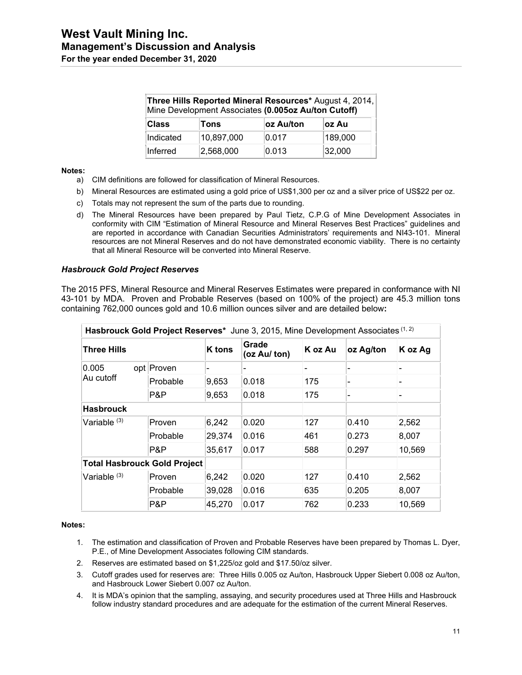| Three Hills Reported Mineral Resources* August 4, 2014,<br>Mine Development Associates (0.005oz Au/ton Cutoff) |            |           |         |  |  |
|----------------------------------------------------------------------------------------------------------------|------------|-----------|---------|--|--|
| <b>Class</b>                                                                                                   | Tons       | oz Au/ton | oz Au   |  |  |
| Indicated                                                                                                      | 10,897,000 | 0.017     | 189,000 |  |  |
| Inferred                                                                                                       | 2,568,000  | 0.013     | 32,000  |  |  |

#### **Notes:**

- a) CIM definitions are followed for classification of Mineral Resources.
- b) Mineral Resources are estimated using a gold price of US\$1,300 per oz and a silver price of US\$22 per oz.
- c) Totals may not represent the sum of the parts due to rounding.
- d) The Mineral Resources have been prepared by Paul Tietz, C.P.G of Mine Development Associates in conformity with CIM "Estimation of Mineral Resource and Mineral Reserves Best Practices" guidelines and are reported in accordance with Canadian Securities Administrators' requirements and NI43-101. Mineral resources are not Mineral Reserves and do not have demonstrated economic viability. There is no certainty that all Mineral Resource will be converted into Mineral Reserve.

#### *Hasbrouck Gold Project Reserves*

The 2015 PFS, Mineral Resource and Mineral Reserves Estimates were prepared in conformance with NI 43-101 by MDA. Proven and Probable Reserves (based on 100% of the project) are 45.3 million tons containing 762,000 ounces gold and 10.6 million ounces silver and are detailed below**:** 

| Hasbrouck Gold Project Reserves* June 3, 2015, Mine Development Associates (1, 2) |            |               |                       |         |           |                          |  |
|-----------------------------------------------------------------------------------|------------|---------------|-----------------------|---------|-----------|--------------------------|--|
| Three Hills                                                                       |            | <b>K</b> tons | Grade<br>(oz Au/ ton) | K oz Au | oz Ag/ton | K oz Ag                  |  |
| 0.005<br>Au cutoff                                                                | opt Proven |               |                       |         |           |                          |  |
|                                                                                   | Probable   | 9,653         | 0.018                 | 175     |           | $\overline{\phantom{a}}$ |  |
|                                                                                   | P&P        | 9,653         | 0.018                 | 175     |           | -                        |  |
| <b>Hasbrouck</b>                                                                  |            |               |                       |         |           |                          |  |
| Variable $(3)$                                                                    | Proven     | 6,242         | 0.020                 | 127     | 0.410     | 2,562                    |  |
|                                                                                   | Probable   | 29,374        | 0.016                 | 461     | 0.273     | 8,007                    |  |
|                                                                                   | P&P        | 35,617        | 0.017                 | 588     | 0.297     | 10,569                   |  |
| <b>Total Hasbrouck Gold Project</b>                                               |            |               |                       |         |           |                          |  |
| Variable <sup>(3)</sup>                                                           | Proven     | 6,242         | 0.020                 | 127     | 0.410     | 2,562                    |  |
|                                                                                   | Probable   | 39,028        | 0.016                 | 635     | 0.205     | 8,007                    |  |
|                                                                                   | P&P        | 45,270        | 0.017                 | 762     | 0.233     | 10,569                   |  |

#### **Notes:**

- 1. The estimation and classification of Proven and Probable Reserves have been prepared by Thomas L. Dyer, P.E., of Mine Development Associates following CIM standards.
- 2. Reserves are estimated based on \$1,225/oz gold and \$17.50/oz silver.
- 3. Cutoff grades used for reserves are: Three Hills 0.005 oz Au/ton, Hasbrouck Upper Siebert 0.008 oz Au/ton, and Hasbrouck Lower Siebert 0.007 oz Au/ton.
- 4. It is MDA's opinion that the sampling, assaying, and security procedures used at Three Hills and Hasbrouck follow industry standard procedures and are adequate for the estimation of the current Mineral Reserves.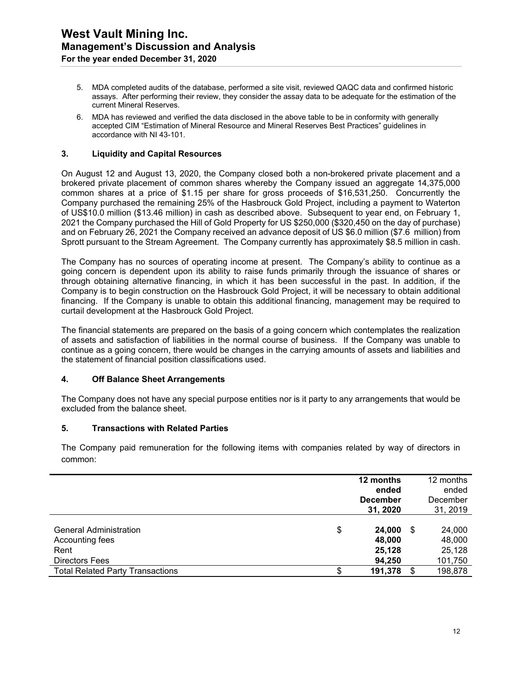- 5. MDA completed audits of the database, performed a site visit, reviewed QAQC data and confirmed historic assays. After performing their review, they consider the assay data to be adequate for the estimation of the current Mineral Reserves.
- 6. MDA has reviewed and verified the data disclosed in the above table to be in conformity with generally accepted CIM "Estimation of Mineral Resource and Mineral Reserves Best Practices" guidelines in accordance with NI 43-101.

#### **3. Liquidity and Capital Resources**

On August 12 and August 13, 2020, the Company closed both a non-brokered private placement and a brokered private placement of common shares whereby the Company issued an aggregate 14,375,000 common shares at a price of \$1.15 per share for gross proceeds of \$16,531,250. Concurrently the Company purchased the remaining 25% of the Hasbrouck Gold Project, including a payment to Waterton of US\$10.0 million (\$13.46 million) in cash as described above. Subsequent to year end, on February 1, 2021 the Company purchased the Hill of Gold Property for US \$250,000 (\$320,450 on the day of purchase) and on February 26, 2021 the Company received an advance deposit of US \$6.0 million (\$7.6 million) from Sprott pursuant to the Stream Agreement. The Company currently has approximately \$8.5 million in cash.

The Company has no sources of operating income at present. The Company's ability to continue as a going concern is dependent upon its ability to raise funds primarily through the issuance of shares or through obtaining alternative financing, in which it has been successful in the past. In addition, if the Company is to begin construction on the Hasbrouck Gold Project, it will be necessary to obtain additional financing. If the Company is unable to obtain this additional financing, management may be required to curtail development at the Hasbrouck Gold Project.

The financial statements are prepared on the basis of a going concern which contemplates the realization of assets and satisfaction of liabilities in the normal course of business. If the Company was unable to continue as a going concern, there would be changes in the carrying amounts of assets and liabilities and the statement of financial position classifications used.

#### **4. Off Balance Sheet Arrangements**

The Company does not have any special purpose entities nor is it party to any arrangements that would be excluded from the balance sheet.

#### **5. Transactions with Related Parties**

The Company paid remuneration for the following items with companies related by way of directors in common:

|                                                                                   |    | 12 months<br>ended<br><b>December</b><br>31, 2020 |    | 12 months<br>ended<br>December<br>31, 2019 |
|-----------------------------------------------------------------------------------|----|---------------------------------------------------|----|--------------------------------------------|
| <b>General Administration</b><br>Accounting fees<br>Rent<br><b>Directors Fees</b> | \$ | 24,000<br>48,000<br>25,128<br>94,250              | S  | 24,000<br>48,000<br>25,128<br>101,750      |
| <b>Total Related Party Transactions</b>                                           | S  | 191,378                                           | \$ | 198,878                                    |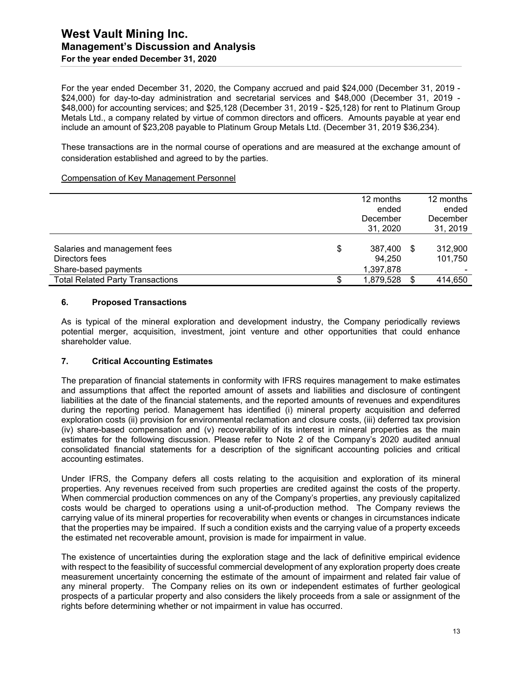#### **West Vault Mining Inc. Management's Discussion and Analysis For the year ended December 31, 2020**

For the year ended December 31, 2020, the Company accrued and paid \$24,000 (December 31, 2019 - \$24,000) for day-to-day administration and secretarial services and \$48,000 (December 31, 2019 - \$48,000) for accounting services; and \$25,128 (December 31, 2019 - \$25,128) for rent to Platinum Group Metals Ltd., a company related by virtue of common directors and officers. Amounts payable at year end include an amount of \$23,208 payable to Platinum Group Metals Ltd. (December 31, 2019 \$36,234).

These transactions are in the normal course of operations and are measured at the exchange amount of consideration established and agreed to by the parties.

#### Compensation of Key Management Personnel

|                                                                        | 12 months<br>ended<br>December<br>31, 2020 |      | 12 months<br>ended<br>December<br>31, 2019 |
|------------------------------------------------------------------------|--------------------------------------------|------|--------------------------------------------|
| Salaries and management fees<br>Directors fees<br>Share-based payments | \$<br>387,400<br>94,250<br>1,397,878       | - \$ | 312,900<br>101,750                         |
| <b>Total Related Party Transactions</b>                                | 1,879,528                                  | -S   | 414,650                                    |

#### **6. Proposed Transactions**

As is typical of the mineral exploration and development industry, the Company periodically reviews potential merger, acquisition, investment, joint venture and other opportunities that could enhance shareholder value.

#### **7. Critical Accounting Estimates**

The preparation of financial statements in conformity with IFRS requires management to make estimates and assumptions that affect the reported amount of assets and liabilities and disclosure of contingent liabilities at the date of the financial statements, and the reported amounts of revenues and expenditures during the reporting period. Management has identified (i) mineral property acquisition and deferred exploration costs (ii) provision for environmental reclamation and closure costs, (iii) deferred tax provision (iv) share-based compensation and (v) recoverability of its interest in mineral properties as the main estimates for the following discussion. Please refer to Note 2 of the Company's 2020 audited annual consolidated financial statements for a description of the significant accounting policies and critical accounting estimates.

Under IFRS, the Company defers all costs relating to the acquisition and exploration of its mineral properties. Any revenues received from such properties are credited against the costs of the property. When commercial production commences on any of the Company's properties, any previously capitalized costs would be charged to operations using a unit-of-production method. The Company reviews the carrying value of its mineral properties for recoverability when events or changes in circumstances indicate that the properties may be impaired. If such a condition exists and the carrying value of a property exceeds the estimated net recoverable amount, provision is made for impairment in value.

The existence of uncertainties during the exploration stage and the lack of definitive empirical evidence with respect to the feasibility of successful commercial development of any exploration property does create measurement uncertainty concerning the estimate of the amount of impairment and related fair value of any mineral property. The Company relies on its own or independent estimates of further geological prospects of a particular property and also considers the likely proceeds from a sale or assignment of the rights before determining whether or not impairment in value has occurred.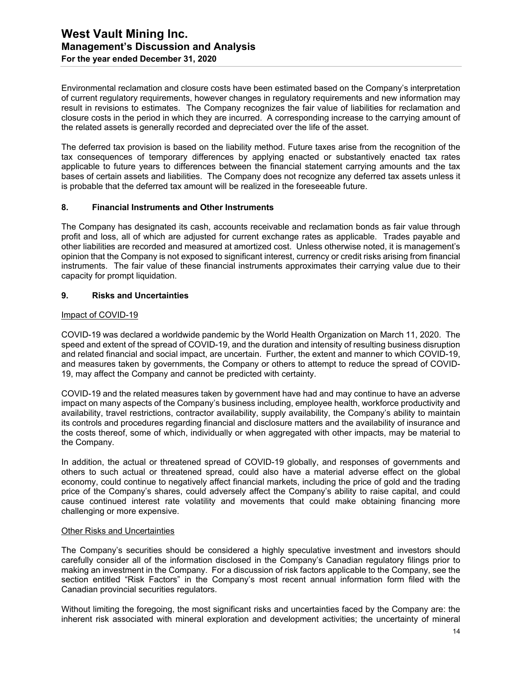Environmental reclamation and closure costs have been estimated based on the Company's interpretation of current regulatory requirements, however changes in regulatory requirements and new information may result in revisions to estimates. The Company recognizes the fair value of liabilities for reclamation and closure costs in the period in which they are incurred. A corresponding increase to the carrying amount of the related assets is generally recorded and depreciated over the life of the asset.

The deferred tax provision is based on the liability method. Future taxes arise from the recognition of the tax consequences of temporary differences by applying enacted or substantively enacted tax rates applicable to future years to differences between the financial statement carrying amounts and the tax bases of certain assets and liabilities. The Company does not recognize any deferred tax assets unless it is probable that the deferred tax amount will be realized in the foreseeable future.

#### **8. Financial Instruments and Other Instruments**

The Company has designated its cash, accounts receivable and reclamation bonds as fair value through profit and loss, all of which are adjusted for current exchange rates as applicable. Trades payable and other liabilities are recorded and measured at amortized cost. Unless otherwise noted, it is management's opinion that the Company is not exposed to significant interest, currency or credit risks arising from financial instruments. The fair value of these financial instruments approximates their carrying value due to their capacity for prompt liquidation.

#### **9. Risks and Uncertainties**

#### Impact of COVID-19

COVID-19 was declared a worldwide pandemic by the World Health Organization on March 11, 2020. The speed and extent of the spread of COVID-19, and the duration and intensity of resulting business disruption and related financial and social impact, are uncertain. Further, the extent and manner to which COVID-19, and measures taken by governments, the Company or others to attempt to reduce the spread of COVID-19, may affect the Company and cannot be predicted with certainty.

COVID-19 and the related measures taken by government have had and may continue to have an adverse impact on many aspects of the Company's business including, employee health, workforce productivity and availability, travel restrictions, contractor availability, supply availability, the Company's ability to maintain its controls and procedures regarding financial and disclosure matters and the availability of insurance and the costs thereof, some of which, individually or when aggregated with other impacts, may be material to the Company.

In addition, the actual or threatened spread of COVID-19 globally, and responses of governments and others to such actual or threatened spread, could also have a material adverse effect on the global economy, could continue to negatively affect financial markets, including the price of gold and the trading price of the Company's shares, could adversely affect the Company's ability to raise capital, and could cause continued interest rate volatility and movements that could make obtaining financing more challenging or more expensive.

#### Other Risks and Uncertainties

The Company's securities should be considered a highly speculative investment and investors should carefully consider all of the information disclosed in the Company's Canadian regulatory filings prior to making an investment in the Company. For a discussion of risk factors applicable to the Company, see the section entitled "Risk Factors" in the Company's most recent annual information form filed with the Canadian provincial securities regulators.

Without limiting the foregoing, the most significant risks and uncertainties faced by the Company are: the inherent risk associated with mineral exploration and development activities; the uncertainty of mineral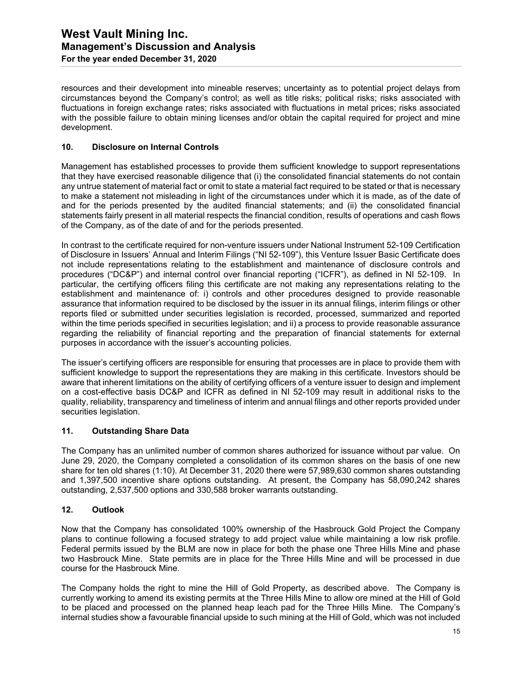resources and their development into mineable reserves; uncertainty as to potential project delays from circumstances beyond the Company's control; as well as title risks; political risks; risks associated with fluctuations in foreign exchange rates; risks associated with fluctuations in metal prices; risks associated with the possible failure to obtain mining licenses and/or obtain the capital required for project and mine development.

#### **10. Disclosure on Internal Controls**

Management has established processes to provide them sufficient knowledge to support representations that they have exercised reasonable diligence that (i) the consolidated financial statements do not contain any untrue statement of material fact or omit to state a material fact required to be stated or that is necessary to make a statement not misleading in light of the circumstances under which it is made, as of the date of and for the periods presented by the audited financial statements; and (ii) the consolidated financial statements fairly present in all material respects the financial condition, results of operations and cash flows of the Company, as of the date of and for the periods presented.

In contrast to the certificate required for non-venture issuers under National Instrument 52-109 Certification of Disclosure in Issuers' Annual and Interim Filings ("NI 52-109"), this Venture Issuer Basic Certificate does not include representations relating to the establishment and maintenance of disclosure controls and procedures ("DC&P") and internal control over financial reporting ("ICFR"), as defined in NI 52-109. In particular, the certifying officers filing this certificate are not making any representations relating to the establishment and maintenance of: i) controls and other procedures designed to provide reasonable assurance that information required to be disclosed by the issuer in its annual filings, interim filings or other reports filed or submitted under securities legislation is recorded, processed, summarized and reported within the time periods specified in securities legislation; and ii) a process to provide reasonable assurance regarding the reliability of financial reporting and the preparation of financial statements for external purposes in accordance with the issuer's accounting policies.

The issuer's certifying officers are responsible for ensuring that processes are in place to provide them with sufficient knowledge to support the representations they are making in this certificate. Investors should be aware that inherent limitations on the ability of certifying officers of a venture issuer to design and implement on a cost-effective basis DC&P and ICFR as defined in NI 52-109 may result in additional risks to the quality, reliability, transparency and timeliness of interim and annual filings and other reports provided under securities legislation.

#### **11. Outstanding Share Data**

The Company has an unlimited number of common shares authorized for issuance without par value. On June 29, 2020, the Company completed a consolidation of its common shares on the basis of one new share for ten old shares (1:10). At December 31, 2020 there were 57,989,630 common shares outstanding and 1,397,500 incentive share options outstanding. At present, the Company has 58,090,242 shares outstanding, 2,537,500 options and 330,588 broker warrants outstanding.

#### **12. Outlook**

Now that the Company has consolidated 100% ownership of the Hasbrouck Gold Project the Company plans to continue following a focused strategy to add project value while maintaining a low risk profile. Federal permits issued by the BLM are now in place for both the phase one Three Hills Mine and phase two Hasbrouck Mine. State permits are in place for the Three Hills Mine and will be processed in due course for the Hasbrouck Mine.

The Company holds the right to mine the Hill of Gold Property, as described above. The Company is currently working to amend its existing permits at the Three Hills Mine to allow ore mined at the Hill of Gold to be placed and processed on the planned heap leach pad for the Three Hills Mine. The Company's internal studies show a favourable financial upside to such mining at the Hill of Gold, which was not included